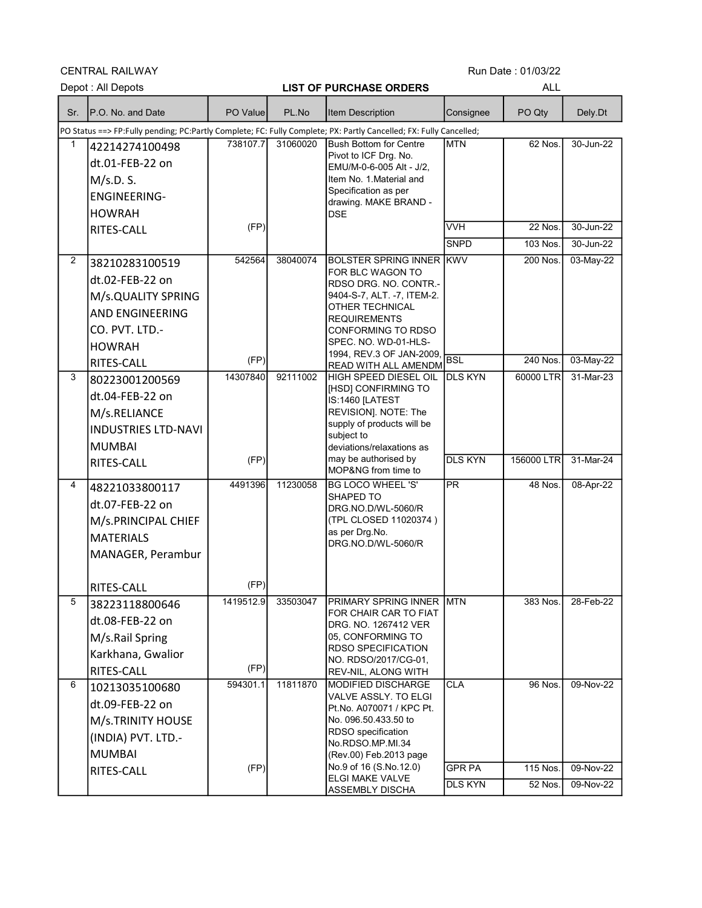CENTRAL RAILWAY

|                | Depot: All Depots                                                                                                  |           |          | <b>LIST OF PURCHASE ORDERS</b>                           |                 | <b>ALL</b>           |           |  |
|----------------|--------------------------------------------------------------------------------------------------------------------|-----------|----------|----------------------------------------------------------|-----------------|----------------------|-----------|--|
| Sr.            | IP.O. No. and Date                                                                                                 | PO Value  | PL.No    | Item Description                                         | Consignee       | PO Qty               | Dely.Dt   |  |
|                | PO Status ==> FP:Fully pending; PC:Partly Complete; FC: Fully Complete; PX: Partly Cancelled; FX: Fully Cancelled; |           |          |                                                          |                 |                      |           |  |
| 1              | 42214274100498                                                                                                     | 738107.7  | 31060020 | <b>Bush Bottom for Centre</b><br>Pivot to ICF Drg. No.   | <b>MTN</b>      | 62 Nos.              | 30-Jun-22 |  |
|                | dt.01-FEB-22 on                                                                                                    |           |          | EMU/M-0-6-005 Alt - J/2,                                 |                 |                      |           |  |
|                | M/s.D. S.                                                                                                          |           |          | Item No. 1 Material and                                  |                 |                      |           |  |
|                | <b>ENGINEERING-</b>                                                                                                |           |          | Specification as per<br>drawing. MAKE BRAND -            |                 |                      |           |  |
|                | <b>HOWRAH</b>                                                                                                      |           |          | <b>DSE</b>                                               |                 |                      |           |  |
|                | RITES-CALL                                                                                                         | (FP)      |          |                                                          | <b>VVH</b>      | 22 Nos.              | 30-Jun-22 |  |
|                |                                                                                                                    |           |          |                                                          | <b>SNPD</b>     | 103 Nos.             | 30-Jun-22 |  |
| $\overline{2}$ | 38210283100519                                                                                                     | 542564    | 38040074 | <b>BOLSTER SPRING INNER KWV</b>                          |                 | 200 Nos.             | 03-May-22 |  |
|                | dt.02-FEB-22 on                                                                                                    |           |          | FOR BLC WAGON TO<br>RDSO DRG. NO. CONTR -                |                 |                      |           |  |
|                | M/s.QUALITY SPRING                                                                                                 |           |          | 9404-S-7, ALT. -7, ITEM-2.                               |                 |                      |           |  |
|                | <b>AND ENGINEERING</b>                                                                                             |           |          | OTHER TECHNICAL<br><b>REQUIREMENTS</b>                   |                 |                      |           |  |
|                | CO. PVT. LTD.-                                                                                                     |           |          | <b>CONFORMING TO RDSO</b>                                |                 |                      |           |  |
|                | <b>HOWRAH</b>                                                                                                      |           |          | SPEC. NO. WD-01-HLS-                                     |                 |                      |           |  |
|                | <b>RITES-CALL</b>                                                                                                  | (FP)      |          | 1994, REV.3 OF JAN-2009,<br>READ WITH ALL AMENDM         | <b>BSL</b>      | 240 Nos.             | 03-May-22 |  |
| 3              | 80223001200569                                                                                                     | 14307840  | 92111002 | HIGH SPEED DIESEL OIL                                    | <b>DLS KYN</b>  | 60000 LTR            | 31-Mar-23 |  |
|                | dt.04-FEB-22 on                                                                                                    |           |          | [HSD] CONFIRMING TO<br>IS:1460 [LATEST                   |                 |                      |           |  |
|                | M/s.RELIANCE                                                                                                       |           |          | REVISION]. NOTE: The                                     |                 |                      |           |  |
|                | <b>INDUSTRIES LTD-NAVI</b>                                                                                         |           |          | supply of products will be                               |                 |                      |           |  |
|                | <b>MUMBAI</b>                                                                                                      |           |          | subject to<br>deviations/relaxations as                  |                 |                      |           |  |
|                | RITES-CALL                                                                                                         | (FP)      |          | may be authorised by                                     | <b>DLS KYN</b>  | 156000 LTR           | 31-Mar-24 |  |
|                |                                                                                                                    |           |          | MOP&NG from time to                                      |                 |                      |           |  |
| 4              | 48221033800117                                                                                                     | 4491396   | 11230058 | <b>BG LOCO WHEEL 'S'</b><br>SHAPED TO                    | $\overline{PR}$ | 48 Nos.              | 08-Apr-22 |  |
|                | dt.07-FEB-22 on                                                                                                    |           |          | DRG.NO.D/WL-5060/R                                       |                 |                      |           |  |
|                | M/s.PRINCIPAL CHIEF                                                                                                |           |          | (TPL CLOSED 11020374)                                    |                 |                      |           |  |
|                | <b>MATERIALS</b>                                                                                                   |           |          | as per Drg.No.<br>DRG.NO.D/WL-5060/R                     |                 |                      |           |  |
|                | MANAGER, Perambur                                                                                                  |           |          |                                                          |                 |                      |           |  |
|                |                                                                                                                    |           |          |                                                          |                 |                      |           |  |
|                | RITES-CALL                                                                                                         | (FP)      |          |                                                          |                 |                      |           |  |
| 5              | 38223118800646                                                                                                     | 1419512.9 | 33503047 | PRIMARY SPRING INNER IMTN<br>FOR CHAIR CAR TO FIAT       |                 | 383 Nos.             | 28-Feb-22 |  |
|                | dt.08-FEB-22 on                                                                                                    |           |          | DRG. NO. 1267412 VER                                     |                 |                      |           |  |
|                | M/s.Rail Spring                                                                                                    |           |          | 05. CONFORMING TO<br>RDSO SPECIFICATION                  |                 |                      |           |  |
|                | Karkhana, Gwalior                                                                                                  |           |          | NO. RDSO/2017/CG-01,                                     |                 |                      |           |  |
|                | RITES-CALL                                                                                                         | (FP)      |          | REV-NIL, ALONG WITH                                      |                 |                      |           |  |
| 6              | 10213035100680                                                                                                     | 594301.1  | 11811870 | <b>MODIFIED DISCHARGE</b><br><b>VALVE ASSLY. TO ELGI</b> | <b>CLA</b>      | $\overline{96}$ Nos. | 09-Nov-22 |  |
|                | dt.09-FEB-22 on                                                                                                    |           |          | Pt.No. A070071 / KPC Pt.                                 |                 |                      |           |  |
|                | M/s.TRINITY HOUSE                                                                                                  |           |          | No. 096.50.433.50 to                                     |                 |                      |           |  |
|                | (INDIA) PVT. LTD.-                                                                                                 |           |          | RDSO specification<br>No.RDSO.MP.MI.34                   |                 |                      |           |  |
|                | <b>MUMBAI</b>                                                                                                      |           |          | (Rev.00) Feb.2013 page                                   |                 |                      |           |  |
|                | RITES-CALL                                                                                                         | (FP)      |          | No.9 of 16 (S.No.12.0)<br>ELGI MAKE VALVE                | <b>GPR PA</b>   | 115 Nos.             | 09-Nov-22 |  |
|                |                                                                                                                    |           |          | ASSEMBLY DISCHA                                          | <b>DLS KYN</b>  | 52 Nos.              | 09-Nov-22 |  |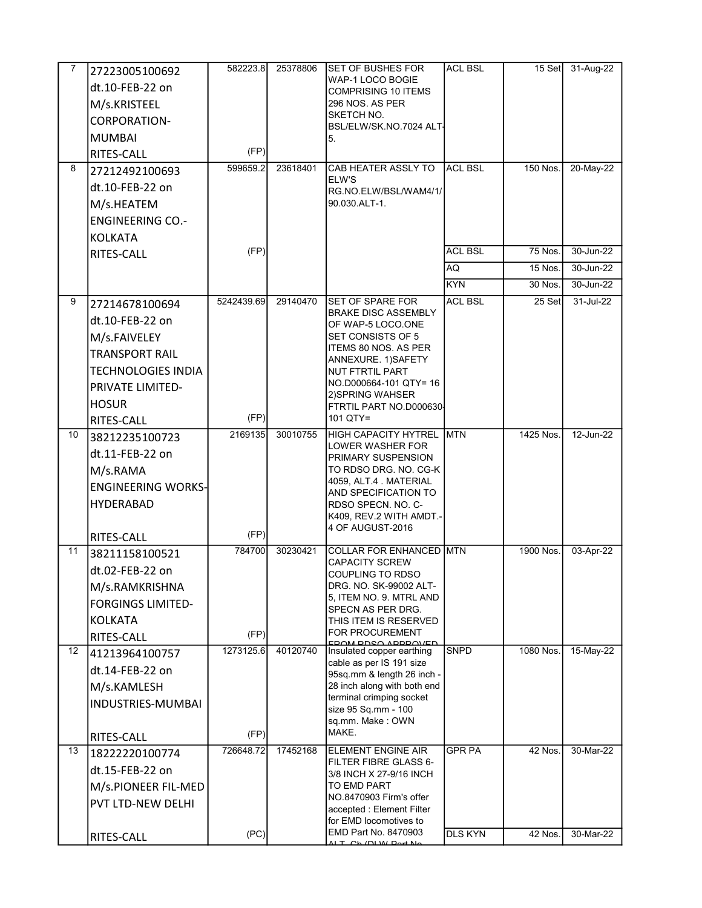| 7  | 27223005100692                             | 582223.8       | 25378806 | <b>SET OF BUSHES FOR</b>                                  | <b>ACL BSL</b> |                | 15 Set 31-Aug-22 |
|----|--------------------------------------------|----------------|----------|-----------------------------------------------------------|----------------|----------------|------------------|
|    | dt.10-FEB-22 on                            |                |          | WAP-1 LOCO BOGIE<br><b>COMPRISING 10 ITEMS</b>            |                |                |                  |
|    | M/s.KRISTEEL                               |                |          | 296 NOS, AS PER                                           |                |                |                  |
|    | CORPORATION-                               |                |          | SKETCH NO.<br>BSL/ELW/SK.NO.7024 ALT-                     |                |                |                  |
|    | <b>MUMBAI</b>                              |                |          | 5.                                                        |                |                |                  |
|    | <b>RITES-CALL</b>                          | (FP)           |          |                                                           |                |                |                  |
| 8  | 27212492100693                             | 599659.2       | 23618401 | CAB HEATER ASSLY TO                                       | <b>ACL BSL</b> | 150 Nos.       | 20-May-22        |
|    | dt.10-FEB-22 on                            |                |          | ELW'S<br>RG.NO.ELW/BSL/WAM4/1/                            |                |                |                  |
|    | M/s.HEATEM                                 |                |          | 90.030.ALT-1.                                             |                |                |                  |
|    | <b>ENGINEERING CO.-</b>                    |                |          |                                                           |                |                |                  |
|    | KOLKATA                                    |                |          |                                                           |                |                |                  |
|    | RITES-CALL                                 | (FP)           |          |                                                           | <b>ACL BSL</b> | <b>75 Nos.</b> | 30-Jun-22        |
|    |                                            |                |          |                                                           | AQ             | 15 Nos.        | 30-Jun-22        |
|    |                                            |                |          |                                                           | <b>KYN</b>     | 30 Nos.        | 30-Jun-22        |
| 9  | 27214678100694                             | 5242439.69     | 29140470 | ISET OF SPARE FOR<br><b>BRAKE DISC ASSEMBLY</b>           | <b>ACL BSL</b> | 25 Set         | 31-Jul-22        |
|    | dt.10-FEB-22 on                            |                |          | OF WAP-5 LOCO.ONE                                         |                |                |                  |
|    | M/s.FAIVELEY                               |                |          | SET CONSISTS OF 5<br>ITEMS 80 NOS. AS PER                 |                |                |                  |
|    | <b>TRANSPORT RAIL</b>                      |                |          | ANNEXURE. 1)SAFETY                                        |                |                |                  |
|    | <b>TECHNOLOGIES INDIA</b>                  |                |          | NUT FTRTIL PART                                           |                |                |                  |
|    | PRIVATE LIMITED-                           |                |          | NO.D000664-101 QTY= 16<br>2) SPRING WAHSER                |                |                |                  |
|    | <b>HOSUR</b>                               |                |          | FTRTIL PART NO.D000630                                    |                |                |                  |
|    | RITES-CALL                                 | (FP)           |          | 101 QTY=                                                  |                |                |                  |
| 10 | 38212235100723                             | 2169135        | 30010755 | HIGH CAPACITY HYTREL MTN<br>LOWER WASHER FOR              |                | 1425 Nos.      | 12-Jun-22        |
|    | dt.11-FEB-22 on                            |                |          | PRIMARY SUSPENSION                                        |                |                |                  |
|    | M/s.RAMA                                   |                |          | TO RDSO DRG. NO. CG-K<br>4059, ALT.4 MATERIAL             |                |                |                  |
|    | <b>ENGINEERING WORKS-</b>                  |                |          | AND SPECIFICATION TO                                      |                |                |                  |
|    | <b>HYDERABAD</b>                           |                |          | RDSO SPECN. NO. C-<br>K409, REV.2 WITH AMDT -             |                |                |                  |
|    |                                            |                |          | 4 OF AUGUST-2016                                          |                |                |                  |
| 11 | RITES-CALL                                 | (FP)<br>784700 | 30230421 | <b>COLLAR FOR ENHANCED MTN</b>                            |                | 1900 Nos.      | 03-Apr-22        |
|    | 38211158100521                             |                |          | <b>CAPACITY SCREW</b>                                     |                |                |                  |
|    | dt.02-FEB-22 on                            |                |          | COUPLING TO RDSO                                          |                |                |                  |
|    | M/s.RAMKRISHNA                             |                |          | DRG. NO. SK-99002 ALT-<br>5, ITEM NO. 9. MTRL AND         |                |                |                  |
|    | <b>FORGINGS LIMITED-</b><br><b>KOLKATA</b> |                |          | SPECN AS PER DRG.                                         |                |                |                  |
|    |                                            | (FP)           |          | THIS ITEM IS RESERVED<br>FOR PROCUREMENT                  |                |                |                  |
| 12 | RITES-CALL<br>41213964100757               | 1273125.6      | 40120740 | EDAM DDSA ADDDAVED<br>Insulated copper earthing           | <b>SNPD</b>    | 1080 Nos.      | 15-May-22        |
|    | dt.14-FEB-22 on                            |                |          | cable as per IS 191 size                                  |                |                |                  |
|    | M/s.KAMLESH                                |                |          | 95sq.mm & length 26 inch -<br>28 inch along with both end |                |                |                  |
|    | INDUSTRIES-MUMBAI                          |                |          | terminal crimping socket                                  |                |                |                  |
|    |                                            |                |          | size 95 Sq.mm - 100<br>sq.mm. Make: OWN                   |                |                |                  |
|    | RITES-CALL                                 | (FP)           |          | MAKE.                                                     |                |                |                  |
| 13 | 18222220100774                             | 726648.72      | 17452168 | <b>ELEMENT ENGINE AIR</b>                                 | <b>GPR PA</b>  | 42 Nos.        | 30-Mar-22        |
|    | dt.15-FEB-22 on                            |                |          | FILTER FIBRE GLASS 6-                                     |                |                |                  |
|    | M/s.PIONEER FIL-MED                        |                |          | 3/8 INCH X 27-9/16 INCH<br>TO EMD PART                    |                |                |                  |
|    | PVT LTD-NEW DELHI                          |                |          | NO.8470903 Firm's offer                                   |                |                |                  |
|    |                                            |                |          | accepted : Element Filter<br>for EMD locomotives to       |                |                |                  |
|    | RITES-CALL                                 | (PC)           |          | EMD Part No. 8470903                                      | <b>DLS KYN</b> | 42 Nos.        | 30-Mar-22        |
|    |                                            |                |          | $\Delta$ l T $\Delta$ b (DI $M$ Dart Ne                   |                |                |                  |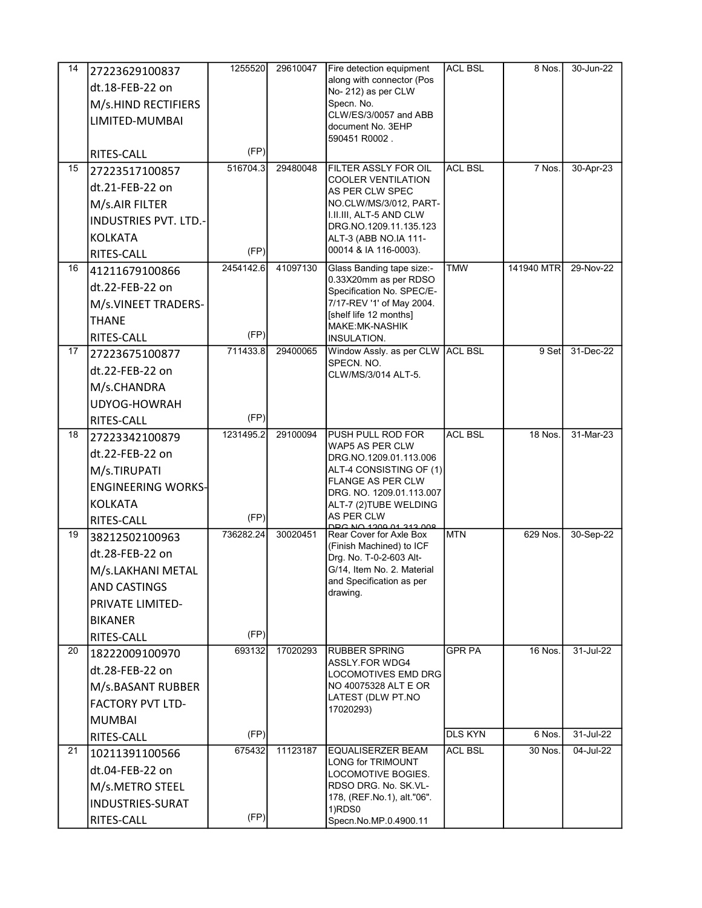| 14 | 27223629100837               | 1255520   | 29610047 | Fire detection equipment                            | <b>ACL BSL</b> | 8 Nos.         | 30-Jun-22 |
|----|------------------------------|-----------|----------|-----------------------------------------------------|----------------|----------------|-----------|
|    | dt.18-FEB-22 on              |           |          | along with connector (Pos                           |                |                |           |
|    | M/s.HIND RECTIFIERS          |           |          | No- 212) as per CLW<br>Specn. No.                   |                |                |           |
|    | LIMITED-MUMBAI               |           |          | CLW/ES/3/0057 and ABB                               |                |                |           |
|    |                              |           |          | document No. 3EHP                                   |                |                |           |
|    | RITES-CALL                   | (FP)      |          | 590451 R0002.                                       |                |                |           |
| 15 | 27223517100857               | 516704.3  | 29480048 | FILTER ASSLY FOR OIL                                | <b>ACL BSL</b> | 7 Nos.         | 30-Apr-23 |
|    | dt.21-FEB-22 on              |           |          | <b>COOLER VENTILATION</b>                           |                |                |           |
|    | M/s.AIR FILTER               |           |          | AS PER CLW SPEC<br>NO.CLW/MS/3/012, PART-           |                |                |           |
|    | <b>INDUSTRIES PVT. LTD.-</b> |           |          | I.II.III, ALT-5 AND CLW                             |                |                |           |
|    | KOLKATA                      |           |          | DRG. NO. 1209. 11. 135. 123                         |                |                |           |
|    |                              | (FP)      |          | ALT-3 (ABB NO.IA 111-<br>00014 & IA 116-0003).      |                |                |           |
| 16 | RITES-CALL<br>41211679100866 | 2454142.6 | 41097130 | Glass Banding tape size:-                           | <b>TMW</b>     | 141940 MTR     | 29-Nov-22 |
|    |                              |           |          | 0.33X20mm as per RDSO                               |                |                |           |
|    | dt.22-FEB-22 on              |           |          | Specification No. SPEC/E-                           |                |                |           |
|    | M/s.VINEET TRADERS-          |           |          | 7/17-REV '1' of May 2004.<br>[shelf life 12 months] |                |                |           |
|    | <b>THANE</b>                 |           |          | MAKE:MK-NASHIK                                      |                |                |           |
|    | RITES-CALL                   | (FP)      |          | INSULATION.                                         |                |                |           |
| 17 | 27223675100877               | 711433.8  | 29400065 | Window Assly. as per CLW ACL BSL<br>SPECN. NO.      |                | 9 Set          | 31-Dec-22 |
|    | dt.22-FEB-22 on              |           |          | CLW/MS/3/014 ALT-5.                                 |                |                |           |
|    | M/s.CHANDRA                  |           |          |                                                     |                |                |           |
|    | UDYOG-HOWRAH                 |           |          |                                                     |                |                |           |
|    | RITES-CALL                   | (FP)      |          |                                                     |                |                |           |
| 18 | 27223342100879               | 1231495.2 | 29100094 | PUSH PULL ROD FOR<br>WAP5 AS PER CLW                | <b>ACL BSL</b> | <b>18 Nos.</b> | 31-Mar-23 |
|    | dt.22-FEB-22 on              |           |          | DRG NO 1209 01 113 006                              |                |                |           |
|    | M/s.TIRUPATI                 |           |          | ALT-4 CONSISTING OF (1)                             |                |                |           |
|    | <b>ENGINEERING WORKS-</b>    |           |          | FLANGE AS PER CLW<br>DRG. NO. 1209.01.113.007       |                |                |           |
|    | <b>KOLKATA</b>               |           |          | ALT-7 (2)TUBE WELDING                               |                |                |           |
|    | RITES-CALL                   | (FP)      |          | AS PER CLW<br>000 212 1000 01 212 009               |                |                |           |
| 19 | 38212502100963               | 736282.24 | 30020451 | Rear Cover for Axle Box                             | <b>MTN</b>     | 629 Nos.       | 30-Sep-22 |
|    | dt.28-FEB-22 on              |           |          | (Finish Machined) to ICF<br>Drg. No. T-0-2-603 Alt- |                |                |           |
|    | M/s.LAKHANI METAL            |           |          | G/14, Item No. 2. Material                          |                |                |           |
|    | <b>AND CASTINGS</b>          |           |          | and Specification as per<br>drawing.                |                |                |           |
|    | <b>PRIVATE LIMITED-</b>      |           |          |                                                     |                |                |           |
|    | <b>BIKANER</b>               |           |          |                                                     |                |                |           |
|    | RITES-CALL                   | (FP)      |          |                                                     |                |                |           |
| 20 | 18222009100970               | 693132    | 17020293 | <b>RUBBER SPRING</b>                                | <b>GPR PA</b>  | 16 Nos.        | 31-Jul-22 |
|    | dt.28-FEB-22 on              |           |          | ASSLY FOR WDG4<br>LOCOMOTIVES EMD DRG               |                |                |           |
|    | M/s.BASANT RUBBER            |           |          | NO 40075328 ALT E OR                                |                |                |           |
|    | <b>FACTORY PVT LTD-</b>      |           |          | LATEST (DLW PT.NO                                   |                |                |           |
|    | <b>MUMBAI</b>                |           |          | 17020293)                                           |                |                |           |
|    | RITES-CALL                   | (FP)      |          |                                                     | <b>DLS KYN</b> | 6 Nos.         | 31-Jul-22 |
| 21 | 10211391100566               | 675432    | 11123187 | <b>EQUALISERZER BEAM</b>                            | <b>ACL BSL</b> | 30 Nos.        | 04-Jul-22 |
|    | dt.04-FEB-22 on              |           |          | <b>LONG for TRIMOUNT</b>                            |                |                |           |
|    | M/s.METRO STEEL              |           |          | LOCOMOTIVE BOGIES.<br>RDSO DRG. No. SK.VL-          |                |                |           |
|    | <b>INDUSTRIES-SURAT</b>      |           |          | 178, (REF.No.1), alt."06".                          |                |                |           |
|    | RITES-CALL                   | (FP)      |          | 1)RDS0<br>Specn.No.MP.0.4900.11                     |                |                |           |
|    |                              |           |          |                                                     |                |                |           |

(Rev.02), Dec.2017. 2) STR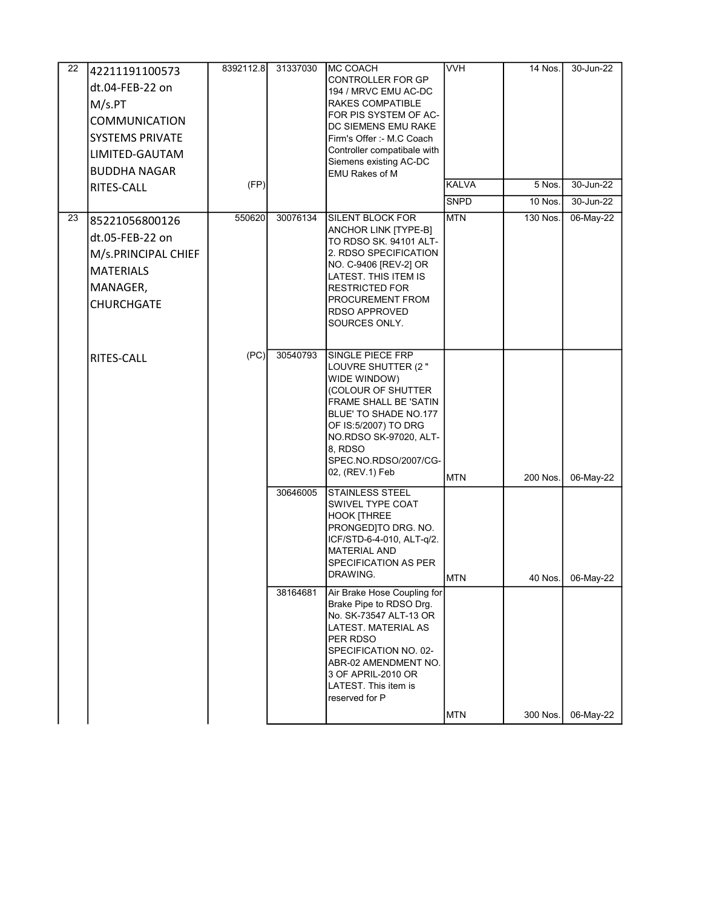| 22 | 42211191100573<br>dt.04-FEB-22 on<br>M/s.PT<br><b>COMMUNICATION</b><br><b>SYSTEMS PRIVATE</b><br>LIMITED-GAUTAM<br><b>BUDDHA NAGAR</b><br>RITES-CALL | 8392112.8<br>(FP) | 31337030 | IMC COACH<br><b>CONTROLLER FOR GP</b><br>194 / MRVC EMU AC-DC<br><b>RAKES COMPATIBLE</b><br>FOR PIS SYSTEM OF AC-<br>DC SIEMENS EMU RAKE<br>Firm's Offer :- M.C Coach<br>Controller compatibale with<br>Siemens existing AC-DC<br><b>EMU Rakes of M</b> | <b>VVH</b><br><b>KALVA</b><br><b>SNPD</b> | 14 Nos.<br>5 Nos.<br><b>10 Nos.</b> | 30-Jun-22<br>30-Jun-22<br>30-Jun-22 |
|----|------------------------------------------------------------------------------------------------------------------------------------------------------|-------------------|----------|---------------------------------------------------------------------------------------------------------------------------------------------------------------------------------------------------------------------------------------------------------|-------------------------------------------|-------------------------------------|-------------------------------------|
| 23 | 85221056800126<br>dt.05-FEB-22 on<br>M/s.PRINCIPAL CHIEF<br><b>MATERIALS</b><br>MANAGER,<br><b>CHURCHGATE</b>                                        | 550620            | 30076134 | <b>SILENT BLOCK FOR</b><br>ANCHOR LINK [TYPE-B]<br>TO RDSO SK. 94101 ALT-<br>2. RDSO SPECIFICATION<br>NO. C-9406 [REV-2] OR<br>LATEST. THIS ITEM IS<br><b>RESTRICTED FOR</b><br>PROCUREMENT FROM<br><b>RDSO APPROVED</b><br>SOURCES ONLY.               | <b>MTN</b>                                | 130 Nos.                            | 06-May-22                           |
|    | RITES-CALL                                                                                                                                           | (PC)              | 30540793 | <b>SINGLE PIECE FRP</b><br>LOUVRE SHUTTER (2"<br>WIDE WINDOW)<br>(COLOUR OF SHUTTER<br><b>FRAME SHALL BE 'SATIN</b><br>BLUE' TO SHADE NO.177<br>OF IS:5/2007) TO DRG<br>NO.RDSO SK-97020, ALT-<br>8, RDSO<br>SPEC.NO.RDSO/2007/CG-<br>02, (REV.1) Feb   | <b>MTN</b>                                | 200 Nos.                            | 06-May-22                           |
|    |                                                                                                                                                      |                   | 30646005 | <b>STAINLESS STEEL</b><br><b>SWIVEL TYPE COAT</b><br><b>HOOK [THREE</b><br>PRONGEDJTO DRG. NO.<br>ICF/STD-6-4-010, ALT-q/2.<br><b>MATERIAL AND</b><br><b>SPECIFICATION AS PER</b><br>DRAWING.                                                           | MTN                                       | 40 Nos.                             | 06-May-22                           |
|    |                                                                                                                                                      |                   | 38164681 | Air Brake Hose Coupling for<br>Brake Pipe to RDSO Drg.<br>No. SK-73547 ALT-13 OR<br>LATEST. MATERIAL AS<br>PER RDSO<br>SPECIFICATION NO. 02-<br>ABR-02 AMENDMENT NO.<br>3 OF APRIL-2010 OR<br>LATEST. This item is<br>reserved for P                    | <b>MTN</b>                                | 300 Nos.                            | 06-May-22                           |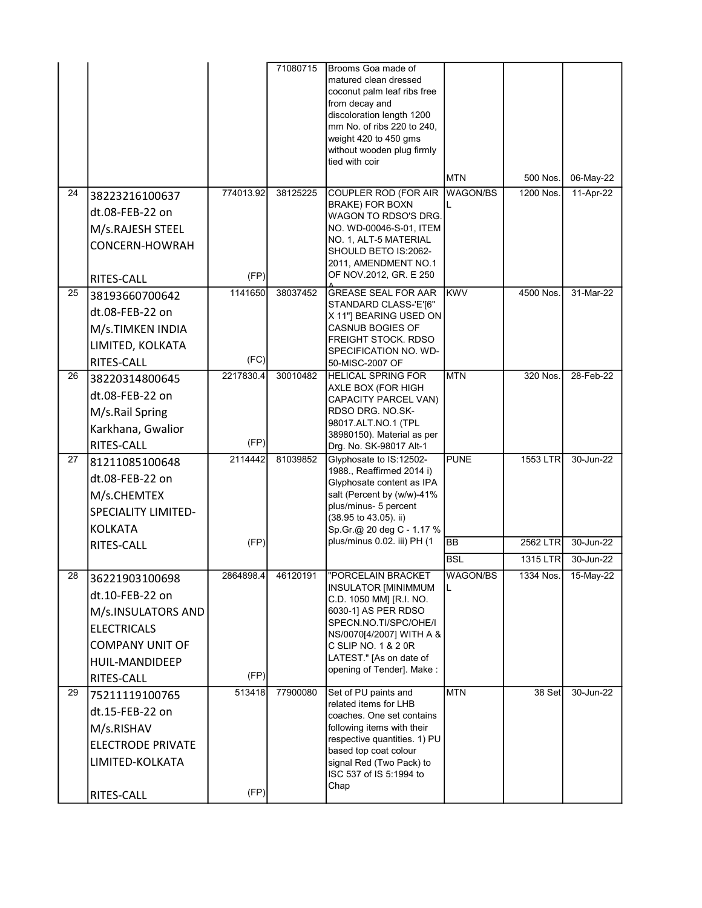|                 |                                                                                                                                         |                   | 71080715 | Brooms Goa made of<br>matured clean dressed<br>coconut palm leaf ribs free<br>from decay and<br>discoloration length 1200<br>mm No. of ribs 220 to 240,<br>weight 420 to 450 gms                                                             |                        |                       |                        |
|-----------------|-----------------------------------------------------------------------------------------------------------------------------------------|-------------------|----------|----------------------------------------------------------------------------------------------------------------------------------------------------------------------------------------------------------------------------------------------|------------------------|-----------------------|------------------------|
|                 |                                                                                                                                         |                   |          | without wooden plug firmly<br>tied with coir                                                                                                                                                                                                 |                        |                       |                        |
|                 |                                                                                                                                         |                   |          |                                                                                                                                                                                                                                              | <b>MTN</b>             | 500 Nos.              | 06-May-22              |
| 24              | 38223216100637<br>dt.08-FEB-22 on<br>M/s.RAJESH STEEL<br>CONCERN-HOWRAH<br>RITES-CALL                                                   | 774013.92<br>(FP) | 38125225 | COUPLER ROD (FOR AIR<br><b>BRAKE) FOR BOXN</b><br>WAGON TO RDSO'S DRG.<br>NO. WD-00046-S-01, ITEM<br>NO. 1, ALT-5 MATERIAL<br>SHOULD BETO IS:2062-<br>2011, AMENDMENT NO.1<br>OF NOV.2012, GR. E 250                                         | <b>WAGON/BS</b>        | 1200 Nos.             | 11-Apr-22              |
| 25              | 38193660700642<br>dt.08-FEB-22 on<br>M/s.TIMKEN INDIA<br>LIMITED, KOLKATA<br>RITES-CALL                                                 | 1141650<br>(FC)   | 38037452 | <b>GREASE SEAL FOR AAR</b><br>STANDARD CLASS-'E'[6"<br>X 11"] BEARING USED ON<br><b>CASNUB BOGIES OF</b><br>FREIGHT STOCK. RDSO<br>SPECIFICATION NO. WD-<br>50-MISC-2007 OF                                                                  | <b>KWV</b>             | 4500 Nos.             | 31-Mar-22              |
| 26              | 38220314800645<br>dt.08-FEB-22 on<br>M/s.Rail Spring<br>Karkhana, Gwalior<br>RITES-CALL                                                 | 2217830.4<br>(FP) | 30010482 | <b>HELICAL SPRING FOR</b><br>AXLE BOX (FOR HIGH<br>CAPACITY PARCEL VAN)<br>RDSO DRG. NO.SK-<br>98017.ALT.NO.1 (TPL<br>38980150). Material as per<br>Drg. No. SK-98017 Alt-1                                                                  | <b>MTN</b>             | 320 Nos.              | 28-Feb-22              |
| 27              | 81211085100648<br>dt.08-FEB-22 on<br>M/s.CHEMTEX<br><b>SPECIALITY LIMITED-</b><br><b>KOLKATA</b>                                        | 2114442           | 81039852 | Glyphosate to IS:12502-<br>1988., Reaffirmed 2014 i)<br>Glyphosate content as IPA<br>salt (Percent by (w/w)-41%<br>plus/minus- 5 percent<br>(38.95 to 43.05). ii)<br>Sp.Gr.@ 20 deg C - 1.17 %                                               | <b>PUNE</b>            | 1553 LTR              | 30-Jun-22              |
|                 | RITES-CALL                                                                                                                              | (FP)              |          | plus/minus 0.02. iii) PH (1                                                                                                                                                                                                                  | <b>BB</b>              | 2562 LTR              | 30-Jun-22              |
| $\overline{28}$ | 36221903100698<br>dt.10-FEB-22 on<br>M/s.INSULATORS AND<br><b>ELECTRICALS</b><br><b>COMPANY UNIT OF</b><br>HUIL-MANDIDEEP<br>RITES-CALL | 2864898.4<br>(FP) | 46120191 | <b>TORCELAIN BRACKET</b><br><b>INSULATOR [MINIMMUM</b><br>C.D. 1050 MM] [R.I. NO.<br>6030-1] AS PER RDSO<br>SPECN.NO.TI/SPC/OHE/I<br>NS/0070[4/2007] WITH A &<br>C SLIP NO. 1 & 2 0R<br>LATEST." [As on date of<br>opening of Tender]. Make: | <b>BSL</b><br>WAGON/BS | 1315 LTR<br>1334 Nos. | 30-Jun-22<br>15-May-22 |
| 29              | 75211119100765<br>dt.15-FEB-22 on<br>M/s.RISHAV<br><b>ELECTRODE PRIVATE</b><br>LIMITED-KOLKATA<br>RITES-CALL                            | 513418<br>(FP)    | 77900080 | Set of PU paints and<br>related items for LHB<br>coaches. One set contains<br>following items with their<br>respective quantities. 1) PU<br>based top coat colour<br>signal Red (Two Pack) to<br>ISC 537 of IS 5:1994 to<br>Chap             | <b>MTN</b>             | 38 Set                | 30-Jun-22              |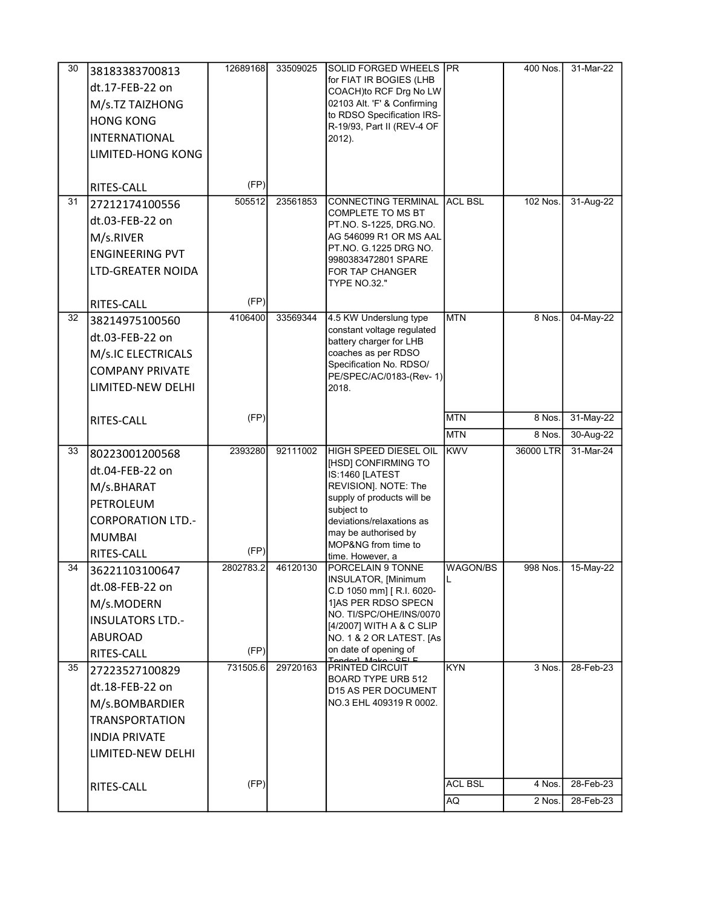| 30 | 38183383700813           | 12689168  | 33509025 | SOLID FORGED WHEELS PR                                |                | 400 Nos.  | 31-Mar-22 |
|----|--------------------------|-----------|----------|-------------------------------------------------------|----------------|-----------|-----------|
|    | dt.17-FEB-22 on          |           |          | for FIAT IR BOGIES (LHB                               |                |           |           |
|    | M/s.TZ TAIZHONG          |           |          | COACH)to RCF Drg No LW<br>02103 Alt. 'F' & Confirming |                |           |           |
|    |                          |           |          | to RDSO Specification IRS-                            |                |           |           |
|    | <b>HONG KONG</b>         |           |          | R-19/93, Part II (REV-4 OF                            |                |           |           |
|    | <b>INTERNATIONAL</b>     |           |          | 2012).                                                |                |           |           |
|    | LIMITED-HONG KONG        |           |          |                                                       |                |           |           |
|    |                          |           |          |                                                       |                |           |           |
|    | RITES-CALL               | (FP)      |          |                                                       |                |           |           |
| 31 | 27212174100556           | 505512    | 23561853 | <b>CONNECTING TERMINAL</b><br>COMPLETE TO MS BT       | <b>ACL BSL</b> | 102 Nos.  | 31-Aug-22 |
|    | dt.03-FEB-22 on          |           |          | PT NO. S-1225, DRG NO.                                |                |           |           |
|    | M/s.RIVER                |           |          | AG 546099 R1 OR MS AAL                                |                |           |           |
|    | <b>ENGINEERING PVT</b>   |           |          | PT NO. G.1225 DRG NO.                                 |                |           |           |
|    | <b>LTD-GREATER NOIDA</b> |           |          | 9980383472801 SPARE<br>FOR TAP CHANGER                |                |           |           |
|    |                          |           |          | <b>TYPE NO.32."</b>                                   |                |           |           |
|    | <b>RITES-CALL</b>        | (FP)      |          |                                                       |                |           |           |
| 32 | 38214975100560           | 4106400   | 33569344 | 4.5 KW Underslung type                                | <b>MTN</b>     | 8 Nos.    | 04-May-22 |
|    | dt.03-FEB-22 on          |           |          | constant voltage regulated<br>battery charger for LHB |                |           |           |
|    | M/s.IC ELECTRICALS       |           |          | coaches as per RDSO                                   |                |           |           |
|    | <b>COMPANY PRIVATE</b>   |           |          | Specification No. RDSO/                               |                |           |           |
|    | LIMITED-NEW DELHI        |           |          | PE/SPEC/AC/0183-(Rev- 1)<br>2018.                     |                |           |           |
|    |                          |           |          |                                                       |                |           |           |
|    | RITES-CALL               | (FP)      |          |                                                       | <b>MTN</b>     | 8 Nos.    | 31-May-22 |
|    |                          |           |          |                                                       | <b>MTN</b>     | 8 Nos.    | 30-Aug-22 |
| 33 | 80223001200568           | 2393280   | 92111002 | HIGH SPEED DIESEL OIL                                 | <b>KWV</b>     | 36000 LTR | 31-Mar-24 |
|    | dt.04-FEB-22 on          |           |          | [HSD] CONFIRMING TO<br>IS:1460 [LATEST                |                |           |           |
|    | M/s.BHARAT               |           |          | REVISION]. NOTE: The                                  |                |           |           |
|    | PETROLEUM                |           |          | supply of products will be                            |                |           |           |
|    |                          |           |          | subject to<br>deviations/relaxations as               |                |           |           |
|    |                          |           |          |                                                       |                |           |           |
|    | <b>CORPORATION LTD.-</b> |           |          |                                                       |                |           |           |
|    | <b>MUMBAI</b>            |           |          | may be authorised by<br>MOP&NG from time to           |                |           |           |
|    | RITES-CALL               | (FP)      |          | time. However, a                                      |                |           |           |
| 34 | 36221103100647           | 2802783.2 | 46120130 | PORCELAIN 9 TONNE                                     | WAGON/BS       | 998 Nos.  | 15-May-22 |
|    | dt.08-FEB-22 on          |           |          | INSULATOR, [Minimum<br>C.D 1050 mm] [R.I. 6020-       | IL.            |           |           |
|    | M/s.MODERN               |           |          | 1]AS PER RDSO SPECN                                   |                |           |           |
|    | <b>INSULATORS LTD.-</b>  |           |          | NO. TI/SPC/OHE/INS/0070                               |                |           |           |
|    | ABUROAD                  |           |          | [4/2007] WITH A & C SLIP<br>NO. 1 & 2 OR LATEST. [As  |                |           |           |
|    | RITES-CALL               | (FP)      |          | on date of opening of                                 |                |           |           |
| 35 | 27223527100829           | 731505.6  | 29720163 | ndorl Moko<br><b>PRINTED CIRCUIT</b>                  | <b>KYN</b>     | 3 Nos.    | 28-Feb-23 |
|    | dt.18-FEB-22 on          |           |          | <b>BOARD TYPE URB 512</b>                             |                |           |           |
|    |                          |           |          | D15 AS PER DOCUMENT<br>NO.3 EHL 409319 R 0002.        |                |           |           |
|    | M/s.BOMBARDIER           |           |          |                                                       |                |           |           |
|    | <b>TRANSPORTATION</b>    |           |          |                                                       |                |           |           |
|    | <b>INDIA PRIVATE</b>     |           |          |                                                       |                |           |           |
|    | LIMITED-NEW DELHI        |           |          |                                                       |                |           |           |
|    | RITES-CALL               | (FP)      |          |                                                       | <b>ACL BSL</b> | 4 Nos.    | 28-Feb-23 |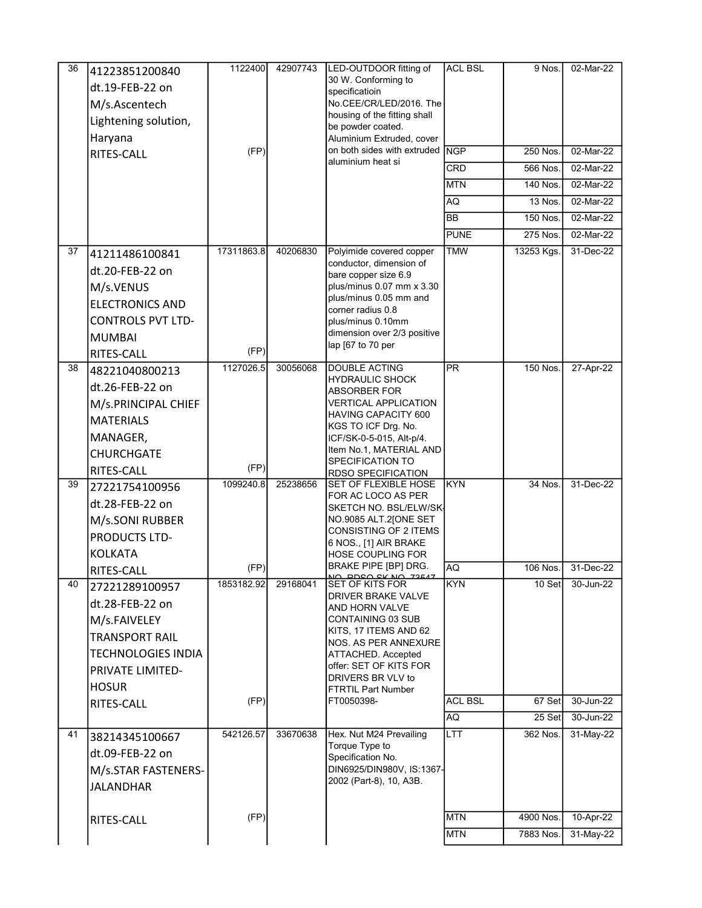| 36 | 41223851200840            | 1122400    | 42907743 | LED-OUTDOOR fitting of                               | <b>ACL BSL</b>           | 9 Nos.     | 02-Mar-22 |
|----|---------------------------|------------|----------|------------------------------------------------------|--------------------------|------------|-----------|
|    | dt.19-FEB-22 on           |            |          | 30 W. Conforming to                                  |                          |            |           |
|    | M/s.Ascentech             |            |          | specificatioin<br>No.CEE/CR/LED/2016. The            |                          |            |           |
|    | Lightening solution,      |            |          | housing of the fitting shall                         |                          |            |           |
|    | Haryana                   |            |          | be powder coated.<br>Aluminium Extruded, cover       |                          |            |           |
|    | RITES-CALL                | (FP)       |          | on both sides with extruded NGP                      |                          | 250 Nos.   | 02-Mar-22 |
|    |                           |            |          | aluminium heat si                                    | <b>CRD</b>               | 566 Nos.   | 02-Mar-22 |
|    |                           |            |          |                                                      | <b>MTN</b>               | 140 Nos.   | 02-Mar-22 |
|    |                           |            |          |                                                      | AQ                       | 13 Nos.    | 02-Mar-22 |
|    |                           |            |          |                                                      | <b>BB</b>                | 150 Nos.   | 02-Mar-22 |
|    |                           |            |          |                                                      | <b>PUNE</b>              | 275 Nos.   | 02-Mar-22 |
| 37 | 41211486100841            | 17311863.8 | 40206830 | Polyimide covered copper                             | <b>TMW</b>               | 13253 Kgs. | 31-Dec-22 |
|    | dt.20-FEB-22 on           |            |          | conductor, dimension of                              |                          |            |           |
|    | M/s.VENUS                 |            |          | bare copper size 6.9<br>plus/minus 0.07 mm x 3.30    |                          |            |           |
|    | <b>ELECTRONICS AND</b>    |            |          | plus/minus 0.05 mm and                               |                          |            |           |
|    | <b>CONTROLS PVT LTD-</b>  |            |          | corner radius 0.8<br>plus/minus 0.10mm               |                          |            |           |
|    | <b>MUMBAI</b>             |            |          | dimension over 2/3 positive                          |                          |            |           |
|    | RITES-CALL                | (FP)       |          | lap [67 to 70 per                                    |                          |            |           |
| 38 | 48221040800213            | 1127026.5  | 30056068 | <b>DOUBLE ACTING</b>                                 | $\overline{\mathsf{PR}}$ | 150 Nos.   | 27-Apr-22 |
|    | dt.26-FEB-22 on           |            |          | HYDRAULIC SHOCK                                      |                          |            |           |
|    | M/s.PRINCIPAL CHIEF       |            |          | ABSORBER FOR<br>VERTICAL APPLICATION                 |                          |            |           |
|    | <b>MATERIALS</b>          |            |          | HAVING CAPACITY 600                                  |                          |            |           |
|    |                           |            |          | KGS TO ICF Drg. No.                                  |                          |            |           |
|    | MANAGER,                  |            |          | ICF/SK-0-5-015, Alt-p/4.<br>Item No.1, MATERIAL AND  |                          |            |           |
|    | <b>CHURCHGATE</b>         | (FP)       |          | SPECIFICATION TO                                     |                          |            |           |
| 39 | RITES-CALL                | 1099240.8  | 25238656 | <b>RDSO SPECIFICATION</b><br>SET OF FLEXIBLE HOSE    | <b>KYN</b>               | $34$ Nos.  | 31-Dec-22 |
|    | 27221754100956            |            |          | FOR AC LOCO AS PER                                   |                          |            |           |
|    | dt.28-FEB-22 on           |            |          | SKETCH NO. BSL/ELW/SK-                               |                          |            |           |
|    | M/s.SONI RUBBER           |            |          | NO.9085 ALT.2[ONE SET<br>CONSISTING OF 2 ITEMS       |                          |            |           |
|    | PRODUCTS LTD-             |            |          | 6 NOS., [1] AIR BRAKE                                |                          |            |           |
|    | <b>KOLKATA</b>            | (FP)       |          | <b>HOSE COUPLING FOR</b><br>BRAKE PIPE [BP] DRG.     | <b>AQ</b>                | 106 Nos.   | 31-Dec-22 |
| 40 | RITES-CALL                | 1853182.92 | 29168041 | SET OF KITS FOR                                      | <b>KYN</b>               | 10 Set     | 30-Jun-22 |
|    | 27221289100957            |            |          | DRIVER BRAKE VALVE                                   |                          |            |           |
|    | dt.28-FEB-22 on           |            |          | AND HORN VALVE                                       |                          |            |           |
|    | M/s.FAIVELEY              |            |          | CONTAINING 03 SUB<br>KITS, 17 ITEMS AND 62           |                          |            |           |
|    | <b>TRANSPORT RAIL</b>     |            |          | NOS. AS PER ANNEXURE                                 |                          |            |           |
|    | <b>TECHNOLOGIES INDIA</b> |            |          | ATTACHED. Accepted<br>offer: SET OF KITS FOR         |                          |            |           |
|    | <b>PRIVATE LIMITED-</b>   |            |          | DRIVERS BR VLV to                                    |                          |            |           |
|    | <b>HOSUR</b>              |            |          | FTRTIL Part Number                                   | <b>ACL BSL</b>           | 67 Set     | 30-Jun-22 |
|    | RITES-CALL                | (FP)       |          | FT0050398-                                           | AQ                       | 25 Set     | 30-Jun-22 |
|    |                           | 542126.57  | 33670638 |                                                      | LTT                      | 362 Nos.   |           |
| 41 | 38214345100667            |            |          | Hex. Nut M24 Prevailing<br>Torque Type to            |                          |            | 31-May-22 |
|    | dt.09-FEB-22 on           |            |          | Specification No.                                    |                          |            |           |
|    | M/s.STAR FASTENERS-       |            |          | DIN6925/DIN980V, IS:1367-<br>2002 (Part-8), 10, A3B. |                          |            |           |
|    | <b>JALANDHAR</b>          |            |          |                                                      |                          |            |           |
|    |                           |            |          |                                                      |                          |            |           |
|    | <b>RITES-CALL</b>         | (FP)       |          |                                                      | <b>MTN</b>               | 4900 Nos.  | 10-Apr-22 |
|    |                           |            |          |                                                      | <b>MTN</b>               | 7883 Nos.  | 31-May-22 |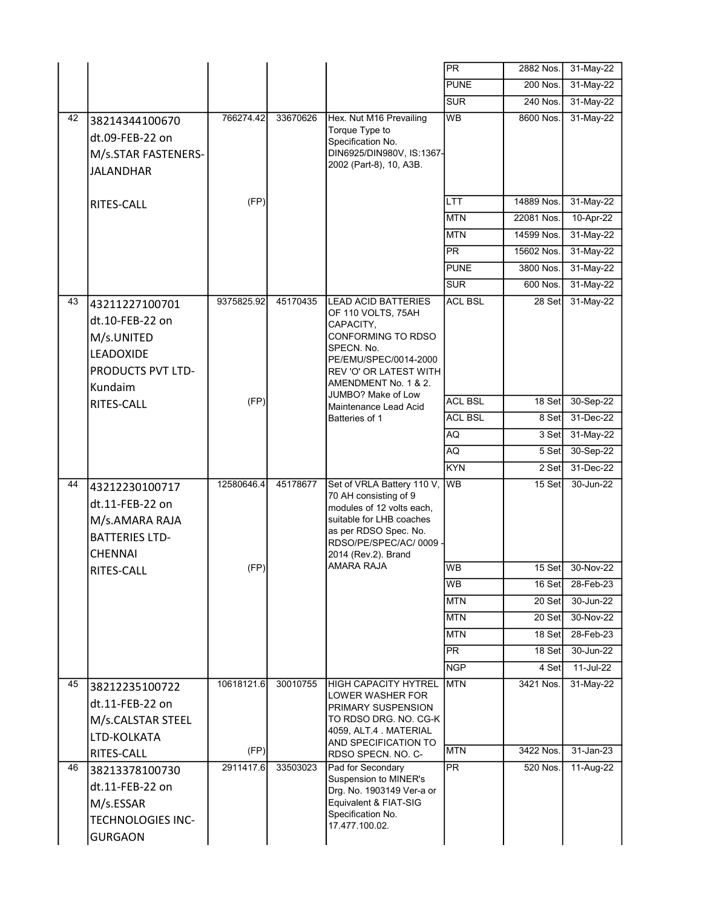|    |                                                                                                            |            |          |                                                                                                                                                                                                    | $\overline{PR}$ | 2882 Nos.  | 31-May-22   |
|----|------------------------------------------------------------------------------------------------------------|------------|----------|----------------------------------------------------------------------------------------------------------------------------------------------------------------------------------------------------|-----------------|------------|-------------|
|    |                                                                                                            |            |          |                                                                                                                                                                                                    | <b>PUNE</b>     | 200 Nos.   | 31-May-22   |
|    |                                                                                                            |            |          |                                                                                                                                                                                                    | <b>SUR</b>      | 240 Nos.   | 31-May-22   |
| 42 | 38214344100670<br>dt.09-FEB-22 on<br>M/s.STAR FASTENERS-<br><b>JALANDHAR</b>                               | 766274.42  | 33670626 | Hex. Nut M16 Prevailing<br>Torque Type to<br>Specification No.<br>DIN6925/DIN980V, IS:1367-<br>2002 (Part-8), 10, A3B.                                                                             | <b>WB</b>       | 8600 Nos.  | 31-May-22   |
|    | RITES-CALL                                                                                                 | (FP)       |          |                                                                                                                                                                                                    | <b>LTT</b>      | 14889 Nos. | 31-May-22   |
|    |                                                                                                            |            |          |                                                                                                                                                                                                    | <b>MTN</b>      | 22081 Nos. | 10-Apr-22   |
|    |                                                                                                            |            |          |                                                                                                                                                                                                    | <b>MTN</b>      | 14599 Nos. | 31-May-22   |
|    |                                                                                                            |            |          |                                                                                                                                                                                                    | $\overline{PR}$ | 15602 Nos. | 31-May-22   |
|    |                                                                                                            |            |          |                                                                                                                                                                                                    | <b>PUNE</b>     | 3800 Nos.  | 31-May-22   |
|    |                                                                                                            |            |          |                                                                                                                                                                                                    | <b>SUR</b>      | 600 Nos.   | $31-May-22$ |
| 43 | 43211227100701<br>dt.10-FEB-22 on<br>M/s.UNITED<br><b>LEADOXIDE</b><br><b>PRODUCTS PVT LTD-</b><br>Kundaim | 9375825.92 | 45170435 | <b>LEAD ACID BATTERIES</b><br>OF 110 VOLTS, 75AH<br>CAPACITY,<br>CONFORMING TO RDSO<br>SPECN. No.<br>PE/EMU/SPEC/0014-2000<br>REV 'O' OR LATEST WITH<br>AMENDMENT No. 1 & 2.<br>JUMBO? Make of Low | <b>ACL BSL</b>  | 28 Set     | 31-May-22   |
|    | RITES-CALL                                                                                                 | (FP)       |          | Maintenance Lead Acid                                                                                                                                                                              | <b>ACL BSL</b>  | 18 Set     | 30-Sep-22   |
|    |                                                                                                            |            |          | Batteries of 1                                                                                                                                                                                     | <b>ACL BSL</b>  | 8 Set      | 31-Dec-22   |
|    |                                                                                                            |            |          |                                                                                                                                                                                                    | AQ              | 3 Set      | 31-May-22   |
|    |                                                                                                            |            |          |                                                                                                                                                                                                    | AQ              | 5 Set      | 30-Sep-22   |
|    |                                                                                                            |            |          |                                                                                                                                                                                                    | <b>KYN</b>      | 2 Set      | 31-Dec-22   |
| 44 | 43212230100717<br>dt.11-FEB-22 on<br>M/s.AMARA RAJA<br><b>BATTERIES LTD-</b><br><b>CHENNAI</b>             | 12580646.4 | 45178677 | Set of VRLA Battery 110 V,<br>70 AH consisting of 9<br>modules of 12 volts each,<br>suitable for LHB coaches<br>as per RDSO Spec. No.<br>RDSO/PE/SPEC/AC/0009 ·<br>2014 (Rev.2). Brand             | <b>WB</b>       | 15 Set     | 30-Jun-22   |
|    | <b>RITES-CALL</b>                                                                                          | (FP)       |          | AMARA RAJA                                                                                                                                                                                         | <b>WB</b>       | 15 Set     | 30-Nov-22   |
|    |                                                                                                            |            |          |                                                                                                                                                                                                    | <b>WB</b>       | 16 Set     | 28-Feb-23   |
|    |                                                                                                            |            |          |                                                                                                                                                                                                    | <b>MTN</b>      | 20 Set     | 30-Jun-22   |
|    |                                                                                                            |            |          |                                                                                                                                                                                                    | <b>MTN</b>      | 20 Set     | 30-Nov-22   |
|    |                                                                                                            |            |          |                                                                                                                                                                                                    | <b>MTN</b>      | 18 Set     | 28-Feb-23   |
|    |                                                                                                            |            |          |                                                                                                                                                                                                    | PR              | 18 Set     | 30-Jun-22   |
|    |                                                                                                            |            |          |                                                                                                                                                                                                    | <b>NGP</b>      | 4 Set      | 11-Jul-22   |
| 45 | 38212235100722<br>dt.11-FEB-22 on<br>M/s.CALSTAR STEEL<br>LTD-KOLKATA                                      | 10618121.6 | 30010755 | HIGH CAPACITY HYTREL<br>LOWER WASHER FOR<br>PRIMARY SUSPENSION<br>TO RDSO DRG. NO. CG-K<br>4059, ALT.4 MATERIAL<br>AND SPECIFICATION TO                                                            | <b>MTN</b>      | 3421 Nos.  | 31-May-22   |
|    | RITES-CALL                                                                                                 | (FP)       |          | RDSO SPECN. NO. C-                                                                                                                                                                                 | <b>MTN</b>      | 3422 Nos.  | 31-Jan-23   |
| 46 | 38213378100730<br>dt.11-FEB-22 on<br>M/s.ESSAR<br><b>TECHNOLOGIES INC-</b><br><b>GURGAON</b>               | 2911417.6  | 33503023 | Pad for Secondary<br>Suspension to MINER's<br>Drg. No. 1903149 Ver-a or<br>Equivalent & FIAT-SIG<br>Specification No.<br>17.477.100.02.                                                            | PR              | 520 Nos.   | 11-Aug-22   |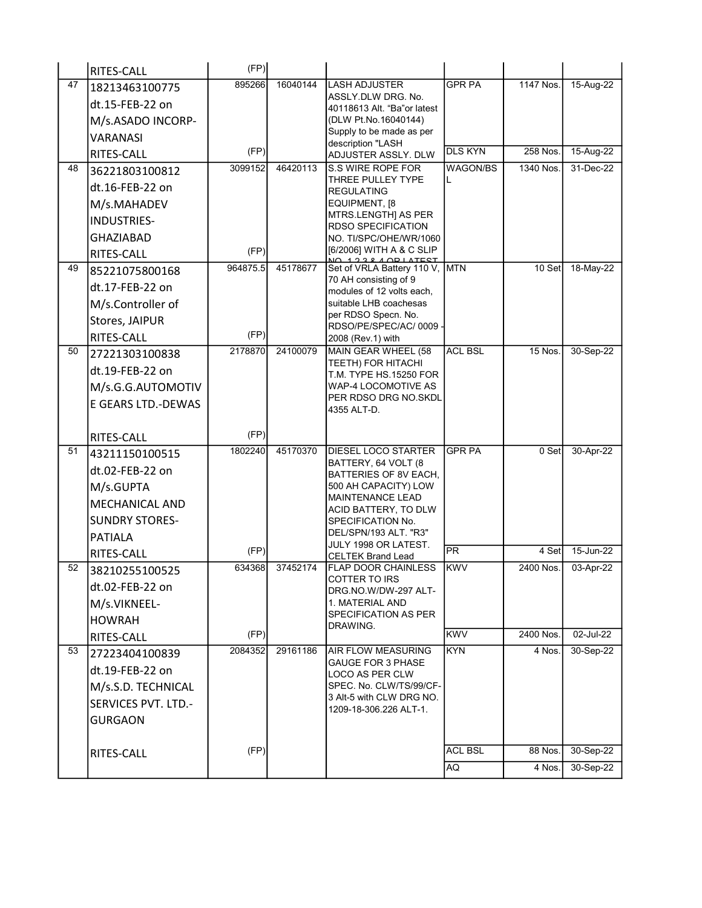|    | RITES-CALL                 | (FP)     |          |                                                    |                      |                   |                        |
|----|----------------------------|----------|----------|----------------------------------------------------|----------------------|-------------------|------------------------|
| 47 | 18213463100775             | 895266   | 16040144 | <b>LASH ADJUSTER</b>                               | <b>GPR PA</b>        | 1147 Nos.         | 15-Aug-22              |
|    | dt.15-FEB-22 on            |          |          | ASSLY DLW DRG. No.<br>40118613 Alt. "Ba"or latest  |                      |                   |                        |
|    | M/s.ASADO INCORP-          |          |          | (DLW Pt.No.16040144)                               |                      |                   |                        |
|    | <b>VARANASI</b>            |          |          | Supply to be made as per<br>description "LASH      |                      |                   |                        |
|    | RITES-CALL                 | (FP)     |          | ADJUSTER ASSLY. DLW                                | <b>DLS KYN</b>       | 258 Nos.          | 15-Aug-22              |
| 48 | 36221803100812             | 3099152  | 46420113 | S.S WIRE ROPE FOR                                  | WAGON/BS             | 1340 Nos.         | 31-Dec-22              |
|    | dt.16-FEB-22 on            |          |          | THREE PULLEY TYPE<br><b>REGULATING</b>             | L                    |                   |                        |
|    | M/s.MAHADEV                |          |          | EQUIPMENT, [8                                      |                      |                   |                        |
|    | INDUSTRIES-                |          |          | MTRS.LENGTH] AS PER<br><b>RDSO SPECIFICATION</b>   |                      |                   |                        |
|    | <b>GHAZIABAD</b>           |          |          | NO. TI/SPC/OHE/WR/1060                             |                      |                   |                        |
|    | RITES-CALL                 | (FP)     |          | [6/2006] WITH A & C SLIP<br>1 2 2 2 4 AD LATEST    |                      |                   |                        |
| 49 | 85221075800168             | 964875.5 | 45178677 | Set of VRLA Battery 110 V, MTN                     |                      | 10 Set            | 18-May-22              |
|    | dt.17-FEB-22 on            |          |          | 70 AH consisting of 9<br>modules of 12 volts each, |                      |                   |                        |
|    | M/s.Controller of          |          |          | suitable LHB coachesas                             |                      |                   |                        |
|    | Stores, JAIPUR             |          |          | per RDSO Specn. No.<br>RDSO/PE/SPEC/AC/0009        |                      |                   |                        |
|    | RITES-CALL                 | (FP)     |          | 2008 (Rev.1) with                                  |                      |                   |                        |
| 50 | 27221303100838             | 2178870  | 24100079 | MAIN GEAR WHEEL (58                                | <b>ACL BSL</b>       | 15 Nos.           | 30-Sep-22              |
|    | dt.19-FEB-22 on            |          |          | TEETH) FOR HITACHI<br>T.M. TYPE HS.15250 FOR       |                      |                   |                        |
|    | M/s.G.G.AUTOMOTIV          |          |          | WAP-4 LOCOMOTIVE AS                                |                      |                   |                        |
|    | E GEARS LTD.-DEWAS         |          |          | PER RDSO DRG NO.SKDL<br>4355 ALT-D.                |                      |                   |                        |
|    |                            |          |          |                                                    |                      |                   |                        |
|    |                            |          |          |                                                    |                      |                   |                        |
|    | RITES-CALL                 | (FP)     |          |                                                    |                      |                   |                        |
| 51 | 43211150100515             | 1802240  | 45170370 | <b>DIESEL LOCO STARTER</b>                         | <b>GPR PA</b>        | 0 Set             | 30-Apr-22              |
|    | dt.02-FEB-22 on            |          |          | BATTERY, 64 VOLT (8<br>BATTERIES OF 8V EACH,       |                      |                   |                        |
|    | M/s.GUPTA                  |          |          | 500 AH CAPACITY) LOW                               |                      |                   |                        |
|    | <b>MECHANICAL AND</b>      |          |          | MAINTENANCE LEAD<br>ACID BATTERY, TO DLW           |                      |                   |                        |
|    | <b>SUNDRY STORES-</b>      |          |          | SPECIFICATION No.                                  |                      |                   |                        |
|    | <b>PATIALA</b>             |          |          | DEL/SPN/193 ALT. "R3"                              |                      |                   |                        |
|    | RITES-CALL                 | (FP)     |          | JULY 1998 OR LATEST.<br><b>CELTEK Brand Lead</b>   | $\overline{PR}$      | 4 Set             | 15-Jun-22              |
| 52 | 38210255100525             | 634368   | 37452174 | <b>FLAP DOOR CHAINLESS</b>                         | <b>KWV</b>           | 2400 Nos.         | 03-Apr-22              |
|    | dt.02-FEB-22 on            |          |          | COTTER TO IRS<br>DRG NO W/DW-297 ALT-              |                      |                   |                        |
|    | M/s.VIKNEEL-               |          |          | 1. MATERIAL AND                                    |                      |                   |                        |
|    | <b>HOWRAH</b>              |          |          | SPECIFICATION AS PER<br>DRAWING.                   |                      |                   |                        |
|    | RITES-CALL                 | (FP)     |          |                                                    | <b>KWV</b>           | 2400 Nos.         | 02-Jul-22              |
| 53 | 27223404100839             | 2084352  | 29161186 | AIR FLOW MEASURING                                 | <b>KYN</b>           | 4 Nos.            | 30-Sep-22              |
|    | dt.19-FEB-22 on            |          |          | GAUGE FOR 3 PHASE<br><b>LOCO AS PER CLW</b>        |                      |                   |                        |
|    | M/s.S.D. TECHNICAL         |          |          | SPEC. No. CLW/TS/99/CF-                            |                      |                   |                        |
|    | <b>SERVICES PVT. LTD.-</b> |          |          | 3 Alt-5 with CLW DRG NO.<br>1209-18-306.226 ALT-1. |                      |                   |                        |
|    | <b>GURGAON</b>             |          |          |                                                    |                      |                   |                        |
|    |                            |          |          |                                                    |                      |                   |                        |
|    | RITES-CALL                 | (FP)     |          |                                                    | <b>ACL BSL</b><br>AQ | 88 Nos.<br>4 Nos. | 30-Sep-22<br>30-Sep-22 |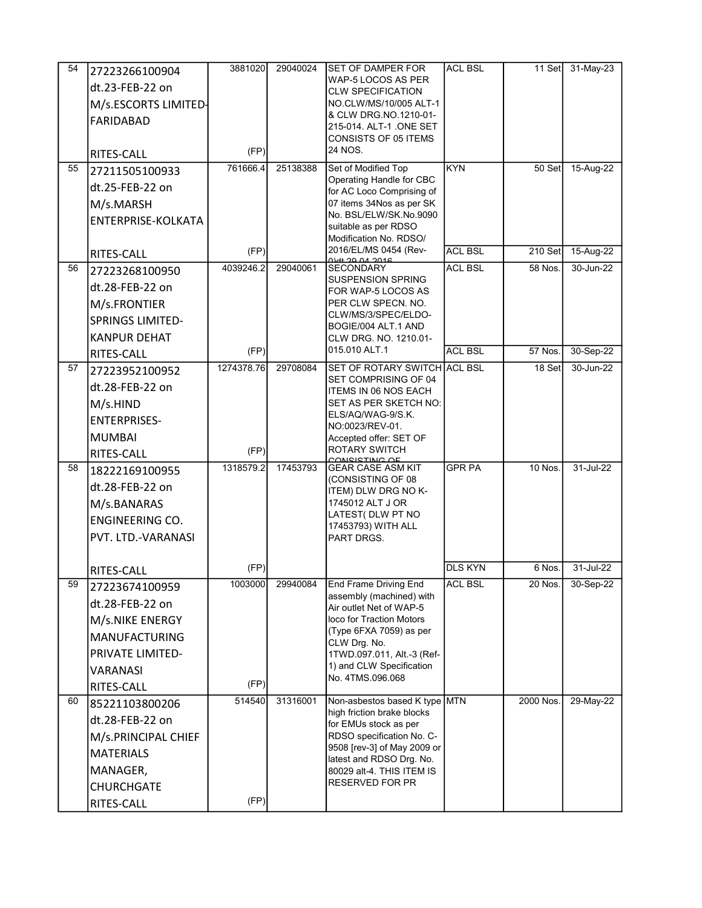| 54 | 27223266100904          | 3881020    | 29040024 | <b>SET OF DAMPER FOR</b>                                    | <b>ACL BSL</b> | 11 Set         | 31-May-23 |
|----|-------------------------|------------|----------|-------------------------------------------------------------|----------------|----------------|-----------|
|    | dt.23-FEB-22 on         |            |          | WAP-5 LOCOS AS PER                                          |                |                |           |
|    | M/s.ESCORTS LIMITED-    |            |          | <b>CLW SPECIFICATION</b><br>NO.CLW/MS/10/005 ALT-1          |                |                |           |
|    | FARIDABAD               |            |          | & CLW DRG NO 1210-01-                                       |                |                |           |
|    |                         |            |          | 215-014. ALT-1 .ONE SET<br>CONSISTS OF 05 ITEMS             |                |                |           |
|    | RITES-CALL              | (FP)       |          | 24 NOS.                                                     |                |                |           |
| 55 | 27211505100933          | 761666.4   | 25138388 | Set of Modified Top                                         | <b>KYN</b>     | 50 Set         | 15-Aug-22 |
|    | dt.25-FEB-22 on         |            |          | Operating Handle for CBC<br>for AC Loco Comprising of       |                |                |           |
|    | M/s.MARSH               |            |          | 07 items 34Nos as per SK                                    |                |                |           |
|    | ENTERPRISE-KOLKATA      |            |          | No. BSL/ELW/SK.No.9090<br>suitable as per RDSO              |                |                |           |
|    |                         |            |          | Modification No. RDSO/                                      |                |                |           |
|    | RITES-CALL              | (FP)       |          | 2016/EL/MS 0454 (Rev-<br>0797 30 0 3016                     | <b>ACL BSL</b> | $210$ Set      | 15-Aug-22 |
| 56 | 27223268100950          | 4039246.2  | 29040061 | <b>SECONDARY</b>                                            | <b>ACL BSL</b> | 58 Nos.        | 30-Jun-22 |
|    | dt.28-FEB-22 on         |            |          | <b>SUSPENSION SPRING</b><br>FOR WAP-5 LOCOS AS              |                |                |           |
|    | M/s.FRONTIER            |            |          | PER CLW SPECN. NO.                                          |                |                |           |
|    | <b>SPRINGS LIMITED-</b> |            |          | CLW/MS/3/SPEC/ELDO-<br>BOGIE/004 ALT.1 AND                  |                |                |           |
|    | <b>KANPUR DEHAT</b>     |            |          | CLW DRG. NO. 1210.01-                                       |                |                |           |
|    | RITES-CALL              | (FP)       |          | 015.010 ALT.1                                               | <b>ACL BSL</b> | 57 Nos.        | 30-Sep-22 |
| 57 | 27223952100952          | 1274378.76 | 29708084 | SET OF ROTARY SWITCH ACL BSL<br>SET COMPRISING OF 04        |                | 18 Set         | 30-Jun-22 |
|    | dt.28-FEB-22 on         |            |          | <b>ITEMS IN 06 NOS EACH</b>                                 |                |                |           |
|    | M/s.HIND                |            |          | SET AS PER SKETCH NO:                                       |                |                |           |
|    | <b>ENTERPRISES-</b>     |            |          | ELS/AQ/WAG-9/S.K.<br>NO:0023/REV-01.                        |                |                |           |
|    | <b>MUMBAI</b>           |            |          | Accepted offer: SET OF                                      |                |                |           |
|    | RITES-CALL              | (FP)       |          | <b>ROTARY SWITCH</b><br>CONCICTING OF                       |                |                |           |
| 58 | 18222169100955          | 1318579.2  | 17453793 | <b>GEAR CASE ASM KIT</b><br>(CONSISTING OF 08               | <b>GPR PA</b>  | <b>10 Nos.</b> | 31-Jul-22 |
|    | dt.28-FEB-22 on         |            |          | ITEM) DLW DRG NO K-                                         |                |                |           |
|    | M/s.BANARAS             |            |          | 1745012 ALT J OR                                            |                |                |           |
|    | <b>ENGINEERING CO.</b>  |            |          | LATEST( DLW PT NO<br>17453793) WITH ALL                     |                |                |           |
|    | PVT. LTD.-VARANASI      |            |          | PART DRGS.                                                  |                |                |           |
|    |                         |            |          |                                                             |                |                |           |
|    | <b>RITES-CALL</b>       | (FP)       |          |                                                             | <b>DLS KYN</b> | 6 Nos.         | 31-Jul-22 |
| 59 | 27223674100959          | 1003000    | 29940084 | <b>End Frame Driving End</b><br>assembly (machined) with    | <b>ACL BSL</b> | 20 Nos.        | 30-Sep-22 |
|    | dt.28-FEB-22 on         |            |          | Air outlet Net of WAP-5                                     |                |                |           |
|    | M/s.NIKE ENERGY         |            |          | loco for Traction Motors<br>(Type 6FXA 7059) as per         |                |                |           |
|    | <b>MANUFACTURING</b>    |            |          | CLW Drg. No.                                                |                |                |           |
|    | PRIVATE LIMITED-        |            |          | 1TWD.097.011, Alt.-3 (Ref-                                  |                |                |           |
|    | <b>VARANASI</b>         |            |          | 1) and CLW Specification<br>No. 4TMS.096.068                |                |                |           |
|    | RITES-CALL              | (FP)       |          |                                                             |                |                |           |
| 60 | 85221103800206          | 514540     | 31316001 | Non-asbestos based K type MTN<br>high friction brake blocks |                | 2000 Nos.      | 29-May-22 |
|    | dt.28-FEB-22 on         |            |          | for EMUs stock as per                                       |                |                |           |
|    | M/s.PRINCIPAL CHIEF     |            |          | RDSO specification No. C-<br>9508 [rev-3] of May 2009 or    |                |                |           |
|    | <b>MATERIALS</b>        |            |          | latest and RDSO Drg. No.                                    |                |                |           |
|    | MANAGER,                |            |          | 80029 alt-4. THIS ITEM IS                                   |                |                |           |
|    | <b>CHURCHGATE</b>       |            |          | <b>RESERVED FOR PR</b>                                      |                |                |           |
|    | RITES-CALL              | (FP)       |          |                                                             |                |                |           |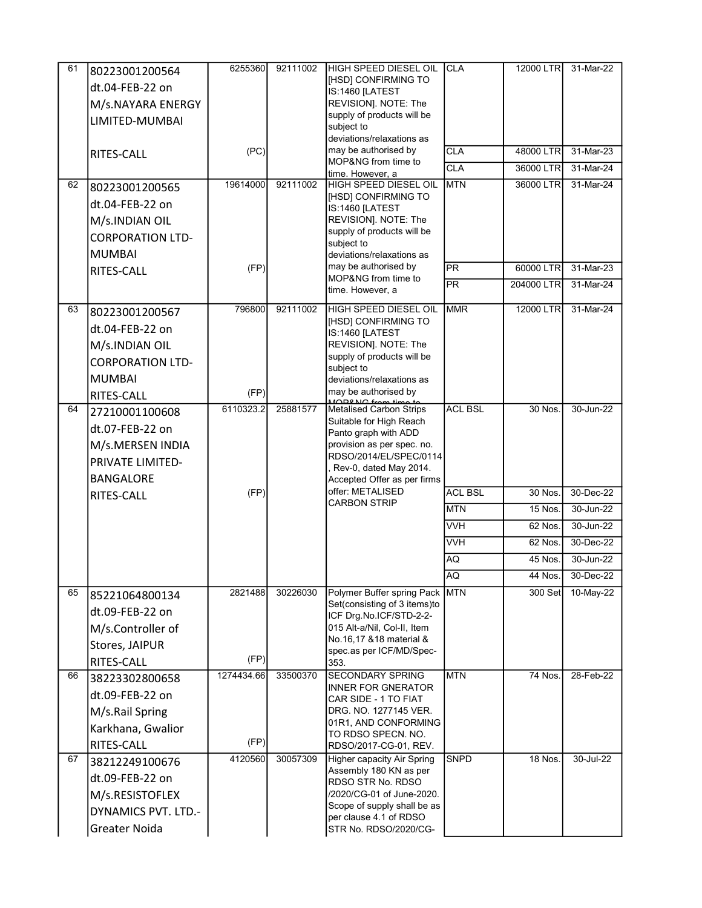| 61 | 80223001200564             | 6255360    | 92111002 | HIGH SPEED DIESEL OIL                                     | <b>CLA</b>     | 12000 LTR      | 31-Mar-22 |
|----|----------------------------|------------|----------|-----------------------------------------------------------|----------------|----------------|-----------|
|    | dt.04-FEB-22 on            |            |          | [HSD] CONFIRMING TO                                       |                |                |           |
|    | M/s.NAYARA ENERGY          |            |          | IS:1460 [LATEST<br>REVISION]. NOTE: The                   |                |                |           |
|    | LIMITED-MUMBAI             |            |          | supply of products will be                                |                |                |           |
|    |                            |            |          | subject to                                                |                |                |           |
|    |                            | (PC)       |          | deviations/relaxations as<br>may be authorised by         | <b>CLA</b>     | 48000 LTR      | 31-Mar-23 |
|    | RITES-CALL                 |            |          | MOP&NG from time to                                       | <b>CLA</b>     | 36000 LTR      | 31-Mar-24 |
|    |                            |            |          | time. However, a                                          |                |                |           |
| 62 | 80223001200565             | 19614000   | 92111002 | <b>HIGH SPEED DIESEL OIL</b><br>[HSD] CONFIRMING TO       | <b>MTN</b>     | 36000 LTR      | 31-Mar-24 |
|    | dt.04-FEB-22 on            |            |          | IS:1460 [LATEST                                           |                |                |           |
|    | M/s.INDIAN OIL             |            |          | REVISION]. NOTE: The                                      |                |                |           |
|    | <b>CORPORATION LTD-</b>    |            |          | supply of products will be<br>subject to                  |                |                |           |
|    | <b>MUMBAI</b>              |            |          | deviations/relaxations as                                 |                |                |           |
|    | RITES-CALL                 | (FP)       |          | may be authorised by                                      | <b>PR</b>      | 60000 LTR      | 31-Mar-23 |
|    |                            |            |          | MOP&NG from time to<br>time. However, a                   | <b>PR</b>      | 204000 LTR     | 31-Mar-24 |
| 63 | 80223001200567             | 796800     | 92111002 | HIGH SPEED DIESEL OIL                                     | <b>MMR</b>     | 12000 LTR      | 31-Mar-24 |
|    |                            |            |          | [HSD] CONFIRMING TO                                       |                |                |           |
|    | dt.04-FEB-22 on            |            |          | IS:1460 [LATEST                                           |                |                |           |
|    | M/s.INDIAN OIL             |            |          | REVISION]. NOTE: The<br>supply of products will be        |                |                |           |
|    | <b>CORPORATION LTD-</b>    |            |          | subiect to                                                |                |                |           |
|    | <b>MUMBAI</b>              |            |          | deviations/relaxations as                                 |                |                |           |
|    | RITES-CALL                 | (FP)       |          | may be authorised by<br>MODRNC from time to               |                |                |           |
| 64 | 27210001100608             | 6110323.2  | 25881577 | <b>Metalised Carbon Strips</b><br>Suitable for High Reach | <b>ACL BSL</b> | 30 Nos.        | 30-Jun-22 |
|    | dt.07-FEB-22 on            |            |          | Panto graph with ADD                                      |                |                |           |
|    | M/s.MERSEN INDIA           |            |          | provision as per spec. no.                                |                |                |           |
|    | PRIVATE LIMITED-           |            |          | RDSO/2014/EL/SPEC/0114<br>, Rev-0, dated May 2014.        |                |                |           |
|    | <b>BANGALORE</b>           |            |          | Accepted Offer as per firms                               |                |                |           |
|    | RITES-CALL                 | (FP)       |          | offer: METALISED                                          | <b>ACL BSL</b> | 30 Nos.        | 30-Dec-22 |
|    |                            |            |          | <b>CARBON STRIP</b>                                       | <b>MTN</b>     | 15 Nos.        | 30-Jun-22 |
|    |                            |            |          |                                                           | <b>VVH</b>     | 62 Nos.        | 30-Jun-22 |
|    |                            |            |          |                                                           | <b>VVH</b>     | 62 Nos.        | 30-Dec-22 |
|    |                            |            |          |                                                           | AQ             | 45 Nos.        | 30-Jun-22 |
|    |                            |            |          |                                                           | AQ             | 44 Nos.        | 30-Dec-22 |
| 65 | 85221064800134             | 2821488    | 30226030 | Polymer Buffer spring Pack                                | <b>MTN</b>     | 300 Set        | 10-May-22 |
|    | dt.09-FEB-22 on            |            |          | Set(consisting of 3 items)to<br>ICF Drg.No.ICF/STD-2-2-   |                |                |           |
|    | M/s.Controller of          |            |          | 015 Alt-a/Nil, Col-II, Item                               |                |                |           |
|    | Stores, JAIPUR             |            |          | No. 16, 17 & 18 material &                                |                |                |           |
|    | RITES-CALL                 | (FP)       |          | spec.as per ICF/MD/Spec-<br>353.                          |                |                |           |
| 66 | 38223302800658             | 1274434.66 | 33500370 | <b>SECONDARY SPRING</b>                                   | <b>MTN</b>     | 74 Nos.        | 28-Feb-22 |
|    | dt.09-FEB-22 on            |            |          | <b>INNER FOR GNERATOR</b>                                 |                |                |           |
|    | M/s.Rail Spring            |            |          | CAR SIDE - 1 TO FIAT<br>DRG. NO. 1277145 VER.             |                |                |           |
|    | Karkhana, Gwalior          |            |          | 01R1, AND CONFORMING                                      |                |                |           |
|    | RITES-CALL                 | (FP)       |          | TO RDSO SPECN. NO.<br>RDSO/2017-CG-01, REV.               |                |                |           |
| 67 | 38212249100676             | 4120560    | 30057309 | <b>Higher capacity Air Spring</b>                         | <b>SNPD</b>    | <b>18 Nos.</b> | 30-Jul-22 |
|    |                            |            |          | Assembly 180 KN as per                                    |                |                |           |
|    | dt.09-FEB-22 on            |            |          | RDSO STR No. RDSO<br>/2020/CG-01 of June-2020.            |                |                |           |
|    | M/s.RESISTOFLEX            |            |          | Scope of supply shall be as                               |                |                |           |
|    | <b>DYNAMICS PVT. LTD.-</b> |            |          | per clause 4.1 of RDSO                                    |                |                |           |
|    | Greater Noida              |            |          | STR No. RDSO/2020/CG-                                     |                |                |           |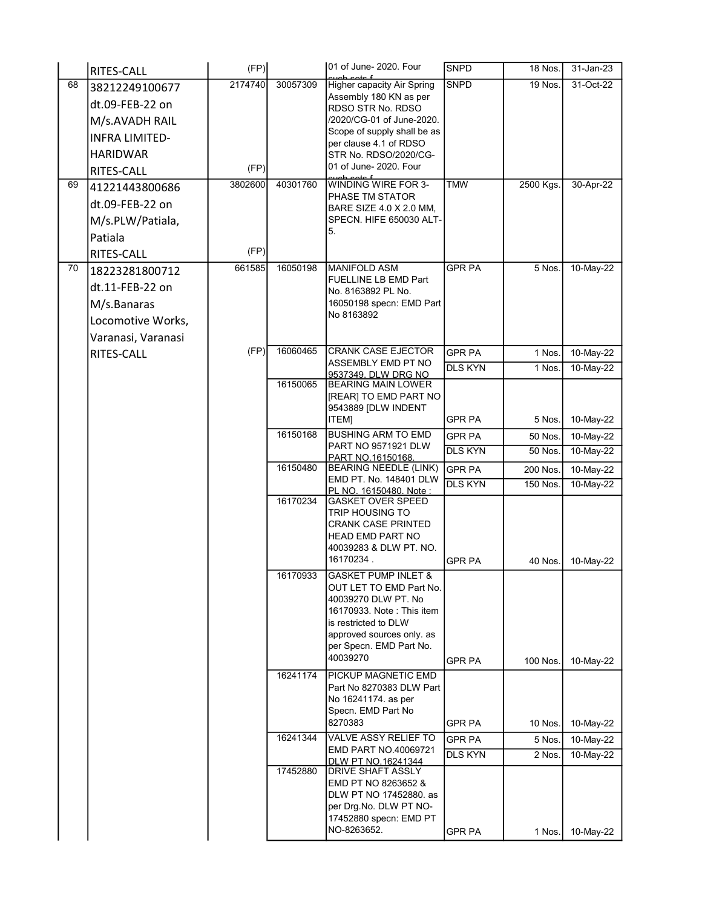|    | RITES-CALL            | (FP)    |          | 01 of June- 2020. Four                             | <b>SNPD</b>    | 18 Nos.        | 31-Jan-23 |
|----|-----------------------|---------|----------|----------------------------------------------------|----------------|----------------|-----------|
| 68 | 38212249100677        | 2174740 | 30057309 | Higher capacity Air Spring                         | <b>SNPD</b>    | <b>19 Nos.</b> | 31-Oct-22 |
|    | dt.09-FEB-22 on       |         |          | Assembly 180 KN as per<br>RDSO STR No. RDSO        |                |                |           |
|    | M/s.AVADH RAIL        |         |          | /2020/CG-01 of June-2020.                          |                |                |           |
|    | <b>INFRA LIMITED-</b> |         |          | Scope of supply shall be as                        |                |                |           |
|    | <b>HARIDWAR</b>       |         |          | per clause 4.1 of RDSO<br>STR No. RDSO/2020/CG-    |                |                |           |
|    | RITES-CALL            | (FP)    |          | 01 of June- 2020. Four                             |                |                |           |
| 69 | 41221443800686        | 3802600 | 40301760 | WINDING WIRE FOR 3-                                | <b>TMW</b>     | 2500 Kgs.      | 30-Apr-22 |
|    | dt.09-FEB-22 on       |         |          | PHASE TM STATOR<br>BARE SIZE 4.0 X 2.0 MM,         |                |                |           |
|    | M/s.PLW/Patiala,      |         |          | SPECN. HIFE 650030 ALT-                            |                |                |           |
|    | Patiala               |         |          | 5.                                                 |                |                |           |
|    | RITES-CALL            | (FP)    |          |                                                    |                |                |           |
| 70 | 18223281800712        | 661585  | 16050198 | <b>MANIFOLD ASM</b>                                | <b>GPR PA</b>  | 5 Nos.         | 10-May-22 |
|    | dt.11-FEB-22 on       |         |          | FUELLINE LB EMD Part                               |                |                |           |
|    | M/s.Banaras           |         |          | No. 8163892 PL No.<br>16050198 specn: EMD Part     |                |                |           |
|    | Locomotive Works,     |         |          | No 8163892                                         |                |                |           |
|    | Varanasi, Varanasi    |         |          |                                                    |                |                |           |
|    | RITES-CALL            | (FP)    | 16060465 | CRANK CASE EJECTOR                                 | <b>GPR PA</b>  | 1 Nos.         | 10-May-22 |
|    |                       |         |          | ASSEMBLY EMD PT NO                                 | <b>DLS KYN</b> | 1 Nos.         | 10-May-22 |
|    |                       |         | 16150065 | 9537349. DLW DRG NO<br><b>BEARING MAIN LOWER</b>   |                |                |           |
|    |                       |         |          | [REAR] TO EMD PART NO                              |                |                |           |
|    |                       |         |          | 9543889 [DLW INDENT<br><b>ITEM]</b>                | GPR PA         | 5 Nos.         | 10-May-22 |
|    |                       |         | 16150168 | <b>BUSHING ARM TO EMD</b>                          | <b>GPR PA</b>  | 50 Nos.        | 10-May-22 |
|    |                       |         |          | <b>PART NO 9571921 DLW</b>                         | <b>DLS KYN</b> | 50 Nos.        | 10-May-22 |
|    |                       |         | 16150480 | PART NO.16150168.<br>BEARING NEEDLE (LINK)         | <b>GPR PA</b>  | 200 Nos.       | 10-May-22 |
|    |                       |         |          | EMD PT. No. 148401 DLW                             | <b>DLS KYN</b> | 150 Nos.       | 10-May-22 |
|    |                       |         | 16170234 | PL NO. 16150480. Note:<br><b>GASKET OVER SPEED</b> |                |                |           |
|    |                       |         |          | TRIP HOUSING TO                                    |                |                |           |
|    |                       |         |          | CRANK CASE PRINTED<br>HEAD EMD PART NO             |                |                |           |
|    |                       |         |          | 40039283 & DLW PT. NO.                             |                |                |           |
|    |                       |         |          | 16170234.                                          | <b>GPR PA</b>  | 40 Nos.        | 10-May-22 |
|    |                       |         | 16170933 | <b>GASKET PUMP INLET &amp;</b>                     |                |                |           |
|    |                       |         |          | OUT LET TO EMD Part No.<br>40039270 DLW PT. No     |                |                |           |
|    |                       |         |          | 16170933. Note: This item                          |                |                |           |
|    |                       |         |          | is restricted to DLW<br>approved sources only. as  |                |                |           |
|    |                       |         |          | per Specn. EMD Part No.                            |                |                |           |
|    |                       |         |          | 40039270                                           | GPR PA         | 100 Nos.       | 10-May-22 |
|    |                       |         | 16241174 | PICKUP MAGNETIC EMD                                |                |                |           |
|    |                       |         |          | Part No 8270383 DLW Part<br>No 16241174. as per    |                |                |           |
|    |                       |         |          | Specn. EMD Part No                                 |                |                |           |
|    |                       |         |          | 8270383                                            | <b>GPR PA</b>  | 10 Nos.        | 10-May-22 |
|    |                       |         | 16241344 | VALVE ASSY RELIEF TO<br>EMD PART NO.40069721       | <b>GPR PA</b>  | 5 Nos.         | 10-May-22 |
|    |                       |         |          | DLW PT NO.16241344                                 | <b>DLS KYN</b> | 2 Nos.         | 10-May-22 |
|    |                       |         | 17452880 | <b>DRIVE SHAFT ASSLY</b><br>EMD PT NO 8263652 &    |                |                |           |
|    |                       |         |          | DLW PT NO 17452880. as                             |                |                |           |
|    |                       |         |          | per Drg.No. DLW PT NO-                             |                |                |           |
|    |                       |         |          | 17452880 specn: EMD PT<br>NO-8263652.              | <b>GPR PA</b>  | 1 Nos.         | 10-May-22 |
|    |                       |         |          |                                                    |                |                |           |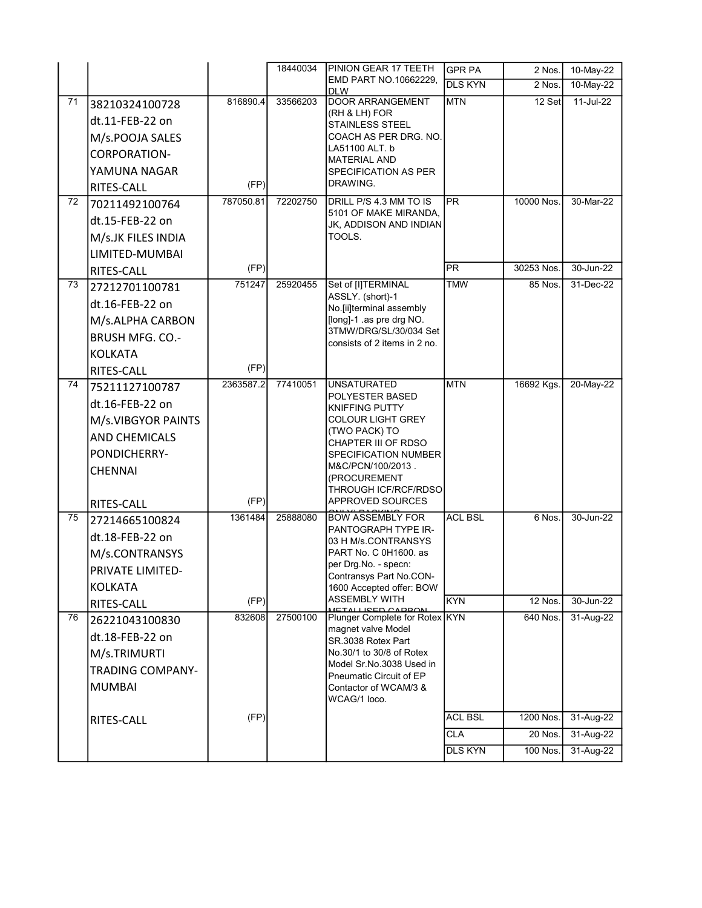|    |                         |           | 18440034 | PINION GEAR 17 TEETH                                   | <b>GPR PA</b>  | 2 Nos.         | 10-May-22     |
|----|-------------------------|-----------|----------|--------------------------------------------------------|----------------|----------------|---------------|
|    |                         |           |          | EMD PART NO.10662229,<br><b>DLW</b>                    | <b>DLS KYN</b> | 2 Nos.         | 10-May-22     |
| 71 | 38210324100728          | 816890.4  | 33566203 | <b>DOOR ARRANGEMENT</b>                                | <b>MTN</b>     | 12 Set         | 11-Jul-22     |
|    | dt.11-FEB-22 on         |           |          | (RH & LH) FOR<br>STAINLESS STEEL                       |                |                |               |
|    | M/s.POOJA SALES         |           |          | COACH AS PER DRG. NO.                                  |                |                |               |
|    | <b>CORPORATION-</b>     |           |          | LA51100 ALT. b                                         |                |                |               |
|    | YAMUNA NAGAR            |           |          | <b>MATERIAL AND</b><br>SPECIFICATION AS PER            |                |                |               |
|    | RITES-CALL              | (FP)      |          | DRAWING.                                               |                |                |               |
| 72 | 70211492100764          | 787050.81 | 72202750 | DRILL P/S 4.3 MM TO IS                                 | PR             | 10000 Nos.     | 30-Mar-22     |
|    | dt.15-FEB-22 on         |           |          | 5101 OF MAKE MIRANDA.<br>JK, ADDISON AND INDIAN        |                |                |               |
|    | M/s.JK FILES INDIA      |           |          | TOOLS.                                                 |                |                |               |
|    | LIMITED-MUMBAI          |           |          |                                                        |                |                |               |
|    | RITES-CALL              | (FP)      |          |                                                        | <b>PR</b>      | 30253 Nos.     | $30 - Jun-22$ |
| 73 | 27212701100781          | 751247    | 25920455 | Set of [I]TERMINAL                                     | <b>TMW</b>     | 85 Nos.        | 31-Dec-22     |
|    | dt.16-FEB-22 on         |           |          | ASSLY. (short)-1<br>No.[ii]terminal assembly           |                |                |               |
|    | M/s.ALPHA CARBON        |           |          | [long]-1 .as pre drg NO.                               |                |                |               |
|    | <b>BRUSH MFG. CO.-</b>  |           |          | 3TMW/DRG/SL/30/034 Set<br>consists of 2 items in 2 no. |                |                |               |
|    | <b>KOLKATA</b>          |           |          |                                                        |                |                |               |
|    | RITES-CALL              | (FP)      |          |                                                        |                |                |               |
| 74 | 75211127100787          | 2363587.2 | 77410051 | <b>UNSATURATED</b>                                     | <b>MTN</b>     | 16692 Kgs.     | 20-May-22     |
|    | dt.16-FEB-22 on         |           |          | POLYESTER BASED<br><b>KNIFFING PUTTY</b>               |                |                |               |
|    | M/s.VIBGYOR PAINTS      |           |          | <b>COLOUR LIGHT GREY</b>                               |                |                |               |
|    | <b>AND CHEMICALS</b>    |           |          | (TWO PACK) TO<br>CHAPTER III OF RDSO                   |                |                |               |
|    | PONDICHERRY-            |           |          | SPECIFICATION NUMBER                                   |                |                |               |
|    | <b>CHENNAI</b>          |           |          | M&C/PCN/100/2013.                                      |                |                |               |
|    |                         |           |          | (PROCUREMENT<br>THROUGH ICF/RCF/RDSO                   |                |                |               |
|    | RITES-CALL              | (FP)      |          | APPROVED SOURCES                                       |                |                |               |
| 75 | 27214665100824          | 1361484   | 25888080 | <b>BOW ASSEMBLY FOR</b>                                | <b>ACL BSL</b> | 6 Nos.         | 30-Jun-22     |
|    | dt.18-FEB-22 on         |           |          | PANTOGRAPH TYPE IR-<br>03 H M/s.CONTRANSYS             |                |                |               |
|    | M/s.CONTRANSYS          |           |          | PART No. C 0H1600. as                                  |                |                |               |
|    | PRIVATE LIMITED-        |           |          | per Drg.No. - specn:<br>Contransys Part No.CON-        |                |                |               |
|    | <b>KOLKATA</b>          |           |          | 1600 Accepted offer: BOW                               |                |                |               |
|    | RITES-CALL              | (FP)      |          | ASSEMBLY WITH<br>METALLISED CAPRON                     | <b>KYN</b>     | <b>12 Nos.</b> | 30-Jun-22     |
| 76 | 26221043100830          | 832608    | 27500100 | Plunger Complete for Rotex KYN<br>magnet valve Model   |                | 640 Nos.       | 31-Aug-22     |
|    | dt.18-FEB-22 on         |           |          | SR.3038 Rotex Part                                     |                |                |               |
|    | M/s.TRIMURTI            |           |          | No.30/1 to 30/8 of Rotex                               |                |                |               |
|    | <b>TRADING COMPANY-</b> |           |          | Model Sr.No.3038 Used in<br>Pneumatic Circuit of EP    |                |                |               |
|    | <b>MUMBAI</b>           |           |          | Contactor of WCAM/3 &<br>WCAG/1 loco.                  |                |                |               |
|    | RITES-CALL              | (FP)      |          |                                                        | <b>ACL BSL</b> | 1200 Nos.      | 31-Aug-22     |
|    |                         |           |          |                                                        | <b>CLA</b>     | 20 Nos.        | 31-Aug-22     |
|    |                         |           |          |                                                        | <b>DLS KYN</b> | 100 Nos.       | 31-Aug-22     |
|    |                         |           |          |                                                        |                |                |               |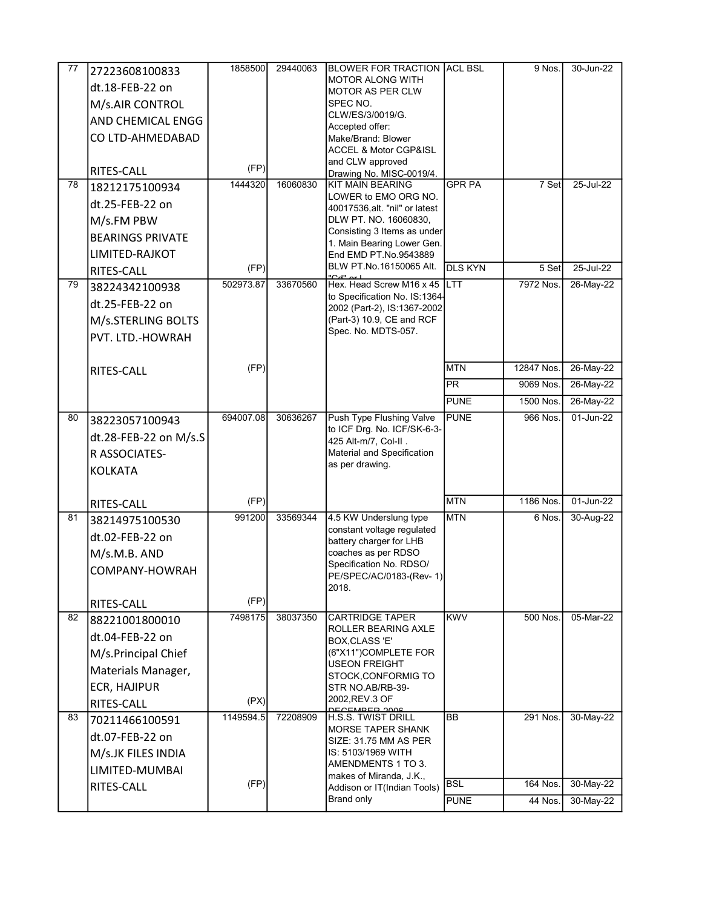| 77 | 27223608100833           | 1858500   | 29440063 | <b>BLOWER FOR TRACTION ACL BSL</b>                       |                | 9 Nos.     | 30-Jun-22 |
|----|--------------------------|-----------|----------|----------------------------------------------------------|----------------|------------|-----------|
|    | dt.18-FEB-22 on          |           |          | <b>MOTOR ALONG WITH</b>                                  |                |            |           |
|    | M/s.AIR CONTROL          |           |          | <b>MOTOR AS PER CLW</b><br>SPEC NO.                      |                |            |           |
|    |                          |           |          | CLW/ES/3/0019/G.                                         |                |            |           |
|    | <b>AND CHEMICAL ENGG</b> |           |          | Accepted offer:                                          |                |            |           |
|    | CO LTD-AHMEDABAD         |           |          | Make/Brand: Blower                                       |                |            |           |
|    |                          |           |          | <b>ACCEL &amp; Motor CGP&amp;ISL</b><br>and CLW approved |                |            |           |
|    | RITES-CALL               | (FP)      |          | Drawing No. MISC-0019/4.                                 |                |            |           |
| 78 | 18212175100934           | 1444320   | 16060830 | <b>KIT MAIN BEARING</b>                                  | <b>GPR PA</b>  | 7 Set      | 25-Jul-22 |
|    | dt.25-FEB-22 on          |           |          | LOWER to EMO ORG NO.<br>40017536, alt. "nil" or latest   |                |            |           |
|    | M/s.FM PBW               |           |          | DLW PT. NO. 16060830,                                    |                |            |           |
|    | <b>BEARINGS PRIVATE</b>  |           |          | Consisting 3 Items as under                              |                |            |           |
|    | LIMITED-RAJKOT           |           |          | 1. Main Bearing Lower Gen.<br>End EMD PT.No.9543889      |                |            |           |
|    |                          | (FP)      |          | BLW PT.No.16150065 Alt.                                  | <b>DLS KYN</b> | 5 Set      | 25-Jul-22 |
| 79 | RITES-CALL               | 502973.87 | 33670560 | Hex. Head Screw M16 x 45                                 | <b>LTT</b>     | 7972 Nos.  | 26-May-22 |
|    | 38224342100938           |           |          | to Specification No. IS:1364-                            |                |            |           |
|    | dt.25-FEB-22 on          |           |          | 2002 (Part-2), IS:1367-2002                              |                |            |           |
|    | M/s.STERLING BOLTS       |           |          | (Part-3) 10.9, CE and RCF                                |                |            |           |
|    | PVT. LTD.-HOWRAH         |           |          | Spec. No. MDTS-057.                                      |                |            |           |
|    |                          |           |          |                                                          |                |            |           |
|    | RITES-CALL               | (FP)      |          |                                                          | <b>MTN</b>     | 12847 Nos. | 26-May-22 |
|    |                          |           |          |                                                          | <b>PR</b>      | 9069 Nos.  | 26-May-22 |
|    |                          |           |          |                                                          | PUNE           | 1500 Nos.  | 26-May-22 |
| 80 | 38223057100943           | 694007.08 | 30636267 | Push Type Flushing Valve                                 | PUNE           | 966 Nos.   | 01-Jun-22 |
|    | dt.28-FEB-22 on M/s.S    |           |          | to ICF Drg. No. ICF/SK-6-3-                              |                |            |           |
|    | R ASSOCIATES-            |           |          | 425 Alt-m/7, Col-II.<br>Material and Specification       |                |            |           |
|    | <b>KOLKATA</b>           |           |          | as per drawing.                                          |                |            |           |
|    |                          |           |          |                                                          |                |            |           |
|    | RITES-CALL               | (FP)      |          |                                                          | <b>MTN</b>     | 1186 Nos.  | 01-Jun-22 |
| 81 | 38214975100530           | 991200    | 33569344 | 4.5 KW Underslung type                                   | <b>MTN</b>     | 6 Nos.     | 30-Aug-22 |
|    | dt.02-FEB-22 on          |           |          | constant voltage regulated<br>battery charger for LHB    |                |            |           |
|    | M/s.M.B. AND             |           |          | coaches as per RDSO                                      |                |            |           |
|    | COMPANY-HOWRAH           |           |          | Specification No. RDSO/                                  |                |            |           |
|    |                          |           |          | PE/SPEC/AC/0183-(Rev- 1)                                 |                |            |           |
|    |                          | (FP)      |          | 2018.                                                    |                |            |           |
| 82 | RITES-CALL               | 7498175   | 38037350 | CARTRIDGE TAPER                                          | <b>KWV</b>     | 500 Nos.   | 05-Mar-22 |
|    | 88221001800010           |           |          | ROLLER BEARING AXLE                                      |                |            |           |
|    | dt.04-FEB-22 on          |           |          | BOX, CLASS 'E'                                           |                |            |           |
|    | M/s.Principal Chief      |           |          | (6"X11")COMPLETE FOR<br>USEON FREIGHT                    |                |            |           |
|    | Materials Manager,       |           |          | STOCK, CONFORMIG TO                                      |                |            |           |
|    | <b>ECR, HAJIPUR</b>      |           |          | STR NO.AB/RB-39-                                         |                |            |           |
|    | RITES-CALL               | (PX)      |          | 2002.REV.3 OF<br>DECEMBER 2006                           |                |            |           |
| 83 | 70211466100591           | 1149594.5 | 72208909 | <b>H.S.S. TWIST DRILL</b>                                | <b>BB</b>      | 291 Nos.   | 30-May-22 |
|    | dt.07-FEB-22 on          |           |          | <b>MORSE TAPER SHANK</b><br>SIZE: 31.75 MM AS PER        |                |            |           |
|    | M/s.JK FILES INDIA       |           |          | IS: 5103/1969 WITH                                       |                |            |           |
|    | LIMITED-MUMBAI           |           |          | AMENDMENTS 1 TO 3.                                       |                |            |           |
|    | RITES-CALL               | (FP)      |          | makes of Miranda, J.K.,<br>Addison or IT(Indian Tools)   | <b>BSL</b>     | 164 Nos.   | 30-May-22 |
|    |                          |           |          | Brand only                                               | <b>PUNE</b>    | 44 Nos.    | 30-May-22 |
|    |                          |           |          |                                                          |                |            |           |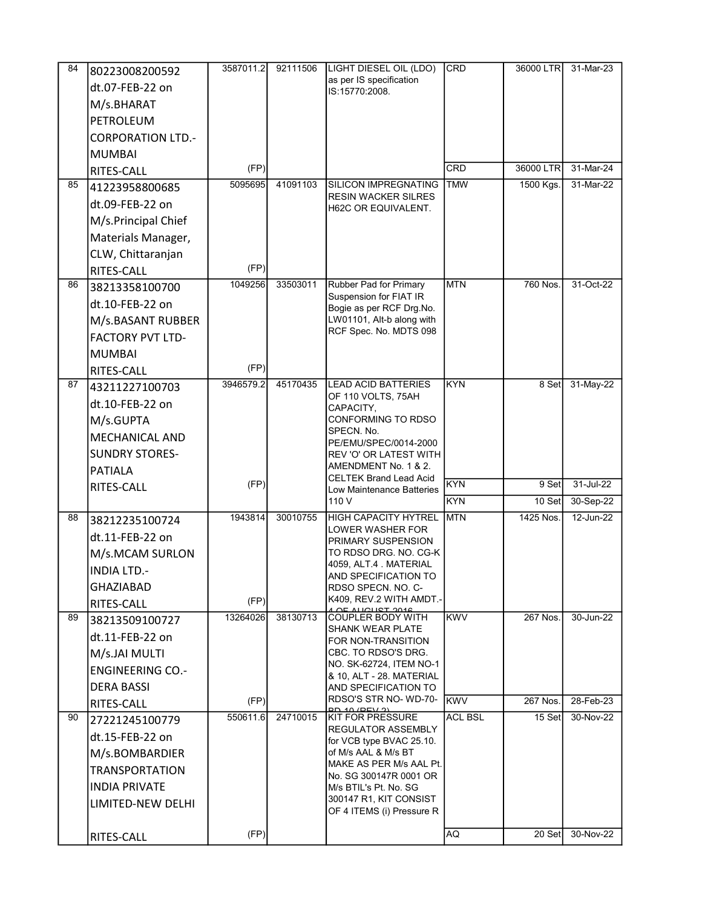| 84 | 80223008200592           | 3587011.2 | 92111506 | LIGHT DIESEL OIL (LDO)                                     | <b>CRD</b>     | 36000 LTR | 31-Mar-23 |
|----|--------------------------|-----------|----------|------------------------------------------------------------|----------------|-----------|-----------|
|    | dt.07-FEB-22 on          |           |          | as per IS specification                                    |                |           |           |
|    | M/s.BHARAT               |           |          | IS:15770:2008.                                             |                |           |           |
|    | PETROLEUM                |           |          |                                                            |                |           |           |
|    | <b>CORPORATION LTD.-</b> |           |          |                                                            |                |           |           |
|    | <b>MUMBAI</b>            |           |          |                                                            |                |           |           |
|    |                          | (FP)      |          |                                                            | <b>CRD</b>     | 36000 LTR | 31-Mar-24 |
| 85 | RITES-CALL               | 5095695   | 41091103 | <b>SILICON IMPREGNATING</b>                                | <b>TMW</b>     | 1500 Kgs. | 31-Mar-22 |
|    | 41223958800685           |           |          | RESIN WACKER SILRES                                        |                |           |           |
|    | dt.09-FEB-22 on          |           |          | H62C OR EQUIVALENT.                                        |                |           |           |
|    | M/s.Principal Chief      |           |          |                                                            |                |           |           |
|    | Materials Manager,       |           |          |                                                            |                |           |           |
|    | CLW, Chittaranjan        |           |          |                                                            |                |           |           |
|    | RITES-CALL               | (FP)      |          |                                                            |                |           |           |
| 86 | 38213358100700           | 1049256   | 33503011 | Rubber Pad for Primary<br>Suspension for FIAT IR           | <b>MTN</b>     | 760 Nos.  | 31-Oct-22 |
|    | dt.10-FEB-22 on          |           |          | Bogie as per RCF Drg.No.                                   |                |           |           |
|    | M/s.BASANT RUBBER        |           |          | LW01101, Alt-b along with                                  |                |           |           |
|    | <b>FACTORY PVT LTD-</b>  |           |          | RCF Spec. No. MDTS 098                                     |                |           |           |
|    | <b>MUMBAI</b>            |           |          |                                                            |                |           |           |
|    | RITES-CALL               | (FP)      |          |                                                            |                |           |           |
| 87 | 43211227100703           | 3946579.2 | 45170435 | <b>LEAD ACID BATTERIES</b><br>OF 110 VOLTS, 75AH           | <b>KYN</b>     | 8 Set     | 31-May-22 |
|    | dt.10-FEB-22 on          |           |          | CAPACITY,                                                  |                |           |           |
|    | M/s.GUPTA                |           |          | CONFORMING TO RDSO                                         |                |           |           |
|    | <b>MECHANICAL AND</b>    |           |          | SPECN. No.<br>PE/EMU/SPEC/0014-2000                        |                |           |           |
|    | <b>SUNDRY STORES-</b>    |           |          | REV 'O' OR LATEST WITH                                     |                |           |           |
|    | <b>PATIALA</b>           |           |          | AMENDMENT No. 1 & 2.                                       |                |           |           |
|    | RITES-CALL               | (FP)      |          | <b>CELTEK Brand Lead Acid</b><br>Low Maintenance Batteries | <b>KYN</b>     | 9 Set     | 31-Jul-22 |
|    |                          |           |          | 110 V                                                      | <b>KYN</b>     | 10 Set    | 30-Sep-22 |
| 88 | 38212235100724           | 1943814   | 30010755 | <b>HIGH CAPACITY HYTREL</b>                                | <b>MTN</b>     | 1425 Nos. | 12-Jun-22 |
|    | dt.11-FEB-22 on          |           |          | LOWER WASHER FOR<br>PRIMARY SUSPENSION                     |                |           |           |
|    | M/s.MCAM SURLON          |           |          | TO RDSO DRG. NO. CG-K                                      |                |           |           |
|    | <b>INDIA LTD.-</b>       |           |          | 4059, ALT.4 . MATERIAL                                     |                |           |           |
|    | <b>GHAZIABAD</b>         |           |          | AND SPECIFICATION TO<br>RDSO SPECN. NO. C-                 |                |           |           |
|    | RITES-CALL               | (FP)      |          | K409, REV.2 WITH AMDT -                                    |                |           |           |
| 89 | 38213509100727           | 13264026  | 38130713 | OF AUCURT 2016<br><b>COUPLER BODY WITH</b>                 | <b>KWV</b>     | 267 Nos.  | 30-Jun-22 |
|    | dt.11-FEB-22 on          |           |          | SHANK WEAR PLATE<br>FOR NON-TRANSITION                     |                |           |           |
|    | M/s.JAI MULTI            |           |          | CBC. TO RDSO'S DRG.                                        |                |           |           |
|    | <b>ENGINEERING CO.-</b>  |           |          | NO. SK-62724, ITEM NO-1                                    |                |           |           |
|    | <b>DERA BASSI</b>        |           |          | & 10, ALT - 28. MATERIAL<br>AND SPECIFICATION TO           |                |           |           |
|    | RITES-CALL               | (FP)      |          | RDSO'S STR NO-WD-70-                                       | <b>KWV</b>     | 267 Nos.  | 28-Feb-23 |
| 90 | 27221245100779           | 550611.6  | 24710015 | <b>DD 10/DEV 21</b><br><b>KIT FOR PRESSURE</b>             | <b>ACL BSL</b> | 15 Set    | 30-Nov-22 |
|    | dt.15-FEB-22 on          |           |          | REGULATOR ASSEMBLY                                         |                |           |           |
|    | M/s.BOMBARDIER           |           |          | for VCB type BVAC 25.10.<br>of M/s AAL & M/s BT            |                |           |           |
|    | <b>TRANSPORTATION</b>    |           |          | MAKE AS PER M/s AAL Pt.                                    |                |           |           |
|    | <b>INDIA PRIVATE</b>     |           |          | No. SG 300147R 0001 OR                                     |                |           |           |
|    | LIMITED-NEW DELHI        |           |          | M/s BTIL's Pt. No. SG<br>300147 R1, KIT CONSIST            |                |           |           |
|    |                          |           |          | OF 4 ITEMS (i) Pressure R                                  |                |           |           |
|    | RITES-CALL               | (FP)      |          |                                                            | AQ             | 20 Set    | 30-Nov-22 |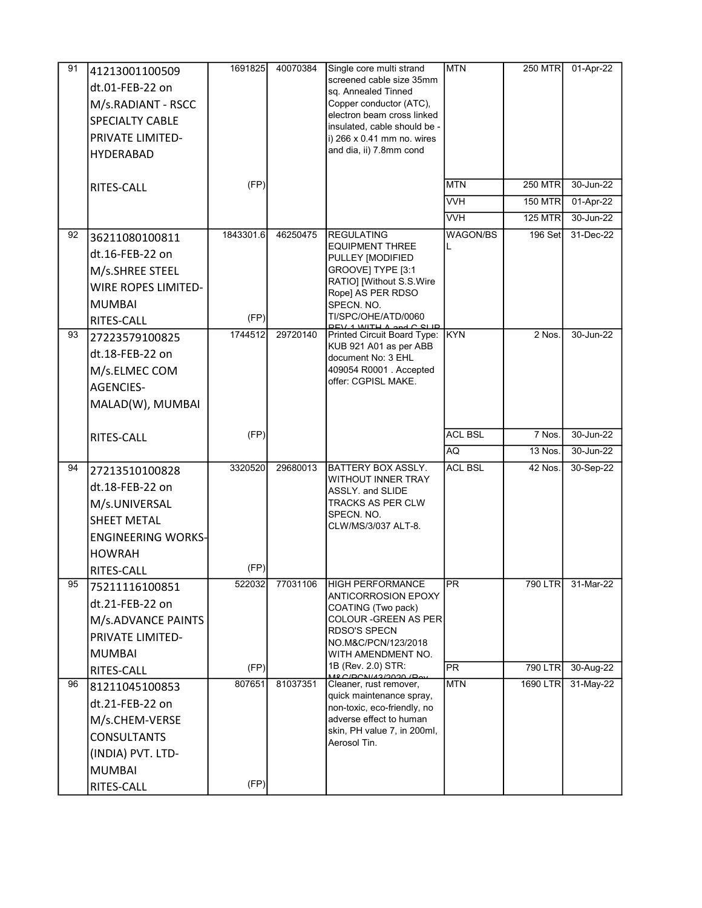| 91 | 41213001100509<br>dt.01-FEB-22 on<br>M/s.RADIANT - RSCC<br><b>SPECIALTY CABLE</b><br>PRIVATE LIMITED-<br><b>HYDERABAD</b><br>RITES-CALL     | 1691825<br>(FP)        | 40070384 | Single core multi strand<br>screened cable size 35mm<br>sq. Annealed Tinned<br>Copper conductor (ATC),<br>electron beam cross linked<br>insulated, cable should be -<br>i) $266 \times 0.41$ mm no. wires<br>and dia, ii) 7.8mm cond | <b>MTN</b><br><b>MTN</b><br><b>VVH</b><br><b>VVH</b> | 250 MTR<br><b>250 MTR</b><br><b>150 MTR</b><br><b>125 MTR</b> | 01-Apr-22<br>30-Jun-22<br>01-Apr-22<br>30-Jun-22 |
|----|---------------------------------------------------------------------------------------------------------------------------------------------|------------------------|----------|--------------------------------------------------------------------------------------------------------------------------------------------------------------------------------------------------------------------------------------|------------------------------------------------------|---------------------------------------------------------------|--------------------------------------------------|
| 92 | 36211080100811<br>dt.16-FEB-22 on<br>M/s.SHREE STEEL<br><b>WIRE ROPES LIMITED-</b><br><b>MUMBAI</b><br>RITES-CALL                           | 1843301.6<br>(FP)      | 46250475 | <b>REGULATING</b><br><b>EQUIPMENT THREE</b><br>PULLEY [MODIFIED<br>GROOVE] TYPE [3:1<br>RATIO] [Without S.S.Wire<br>Rope] AS PER RDSO<br>SPECN. NO.<br>TI/SPC/OHE/ATD/0060<br>DEV 1 WITH A and C CLID                                | <b>WAGON/BS</b>                                      | $196$ Set                                                     | 31-Dec-22                                        |
| 93 | 27223579100825<br>dt.18-FEB-22 on<br>M/s.ELMEC COM<br><b>AGENCIES-</b><br>MALAD(W), MUMBAI                                                  | 1744512                | 29720140 | Printed Circuit Board Type: KYN<br>KUB 921 A01 as per ABB<br>document No: 3 EHL<br>409054 R0001 . Accepted<br>offer: CGPISL MAKE.                                                                                                    |                                                      | 2 Nos.                                                        | 30-Jun-22                                        |
|    | RITES-CALL                                                                                                                                  | (FP)                   |          |                                                                                                                                                                                                                                      | <b>ACL BSL</b><br><b>AQ</b>                          | 7 Nos.<br>13 Nos.                                             | 30-Jun-22<br>30-Jun-22                           |
| 94 | 27213510100828<br>dt.18-FEB-22 on<br>M/s.UNIVERSAL<br><b>SHEET METAL</b><br><b>ENGINEERING WORKS-</b><br><b>HOWRAH</b><br>RITES-CALL        | 3320520<br>(FP)        | 29680013 | <b>BATTERY BOX ASSLY.</b><br><b>WITHOUT INNER TRAY</b><br><b>ASSLY. and SLIDE</b><br>TRACKS AS PER CLW<br>SPECN. NO.<br>CLW/MS/3/037 ALT-8.                                                                                          | <b>ACL BSL</b>                                       | 42 Nos.                                                       | 30-Sep-22                                        |
| 95 | 75211116100851<br>dt.21-FEB-22 on<br>M/s.ADVANCE PAINTS<br><b>PRIVATE LIMITED-</b><br><b>MUMBAI</b>                                         | 522032                 | 77031106 | <b>HIGH PERFORMANCE</b><br>ANTICORROSION EPOXY<br>COATING (Two pack)<br>COLOUR -GREEN AS PER<br>RDSO'S SPECN<br>NO.M&C/PCN/123/2018<br>WITH AMENDMENT NO.                                                                            | PR                                                   | 790 LTR                                                       | 31-Mar-22                                        |
| 96 | RITES-CALL<br>81211045100853<br>dt.21-FEB-22 on<br>M/s.CHEM-VERSE<br><b>CONSULTANTS</b><br>(INDIA) PVT. LTD-<br><b>MUMBAI</b><br>RITES-CALL | (FP)<br>807651<br>(FP) | 81037351 | 1B (Rev. 2.0) STR:<br><u>MECIDONI/43/2020 / Dav</u><br>Cleaner, rust remover,<br>quick maintenance spray,<br>non-toxic, eco-friendly, no<br>adverse effect to human<br>skin, PH value 7, in 200ml,<br>Aerosol Tin.                   | $\overline{PR}$<br><b>MTN</b>                        | 790 LTR<br>1690 LTR                                           | 30-Aug-22<br>31-May-22                           |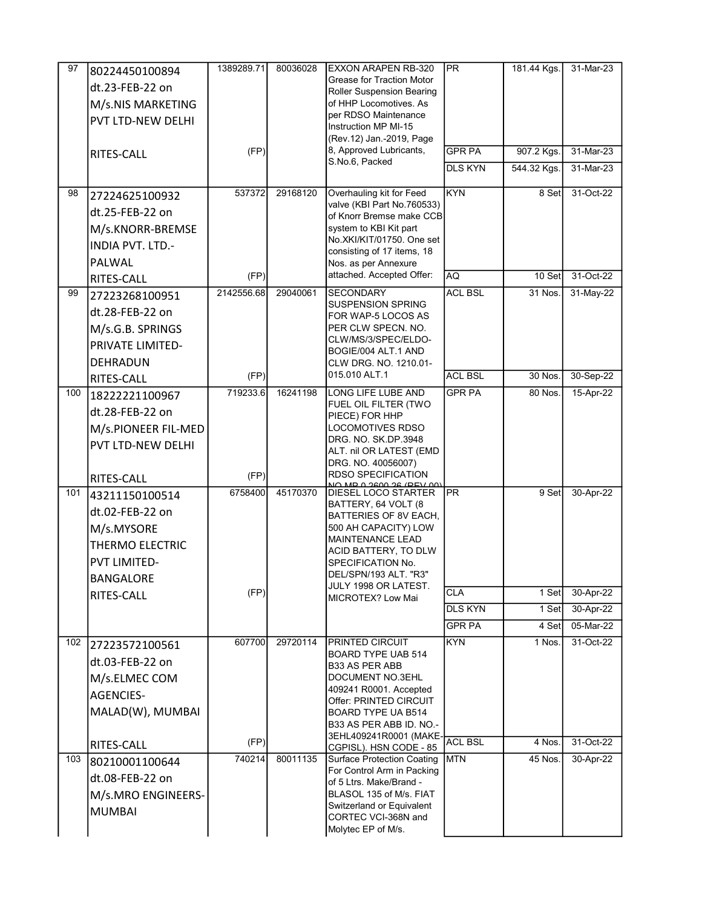| 97  | 80224450100894           | 1389289.71 | 80036028 | <b>EXXON ARAPEN RB-320</b>                                  | <b>PR</b>      | 181.44 Kgs. | 31-Mar-23 |
|-----|--------------------------|------------|----------|-------------------------------------------------------------|----------------|-------------|-----------|
|     | dt.23-FEB-22 on          |            |          | Grease for Traction Motor                                   |                |             |           |
|     | M/s.NIS MARKETING        |            |          | Roller Suspension Bearing<br>of HHP Locomotives. As         |                |             |           |
|     | <b>PVT LTD-NEW DELHI</b> |            |          | per RDSO Maintenance                                        |                |             |           |
|     |                          |            |          | Instruction MP MI-15                                        |                |             |           |
|     |                          | (FP)       |          | (Rev.12) Jan.-2019, Page<br>8, Approved Lubricants,         | <b>GPR PA</b>  | 907.2 Kgs.  | 31-Mar-23 |
|     | RITES-CALL               |            |          | S.No.6, Packed                                              | <b>DLS KYN</b> | 544.32 Kgs. | 31-Mar-23 |
|     |                          |            |          |                                                             |                |             |           |
| 98  | 27224625100932           | 537372     | 29168120 | Overhauling kit for Feed<br>valve (KBI Part No.760533)      | <b>KYN</b>     | 8 Set       | 31-Oct-22 |
|     | dt.25-FEB-22 on          |            |          | of Knorr Bremse make CCB                                    |                |             |           |
|     | M/s.KNORR-BREMSE         |            |          | system to KBI Kit part                                      |                |             |           |
|     | <b>INDIA PVT. LTD.-</b>  |            |          | No.XKI/KIT/01750. One set                                   |                |             |           |
|     | PALWAL                   |            |          | consisting of 17 items, 18<br>Nos. as per Annexure          |                |             |           |
|     | RITES-CALL               | (FP)       |          | attached. Accepted Offer:                                   | AQ             | 10 Set      | 31-Oct-22 |
| 99  | 27223268100951           | 2142556.68 | 29040061 | <b>SECONDARY</b>                                            | <b>ACL BSL</b> | 31 Nos.     | 31-May-22 |
|     | dt.28-FEB-22 on          |            |          | <b>SUSPENSION SPRING</b>                                    |                |             |           |
|     | M/s.G.B. SPRINGS         |            |          | FOR WAP-5 LOCOS AS<br>PER CLW SPECN. NO.                    |                |             |           |
|     | PRIVATE LIMITED-         |            |          | CLW/MS/3/SPEC/ELDO-                                         |                |             |           |
|     |                          |            |          | BOGIE/004 ALT.1 AND                                         |                |             |           |
|     | DEHRADUN                 | (FP)       |          | CLW DRG. NO. 1210.01-<br>015.010 ALT.1                      | <b>ACL BSL</b> | 30 Nos.     | 30-Sep-22 |
| 100 | RITES-CALL               | 719233.6   | 16241198 | LONG LIFE LUBE AND                                          | <b>GPR PA</b>  | 80 Nos.     | 15-Apr-22 |
|     | 18222221100967           |            |          | FUEL OIL FILTER (TWO                                        |                |             |           |
|     | dt.28-FEB-22 on          |            |          | PIECE) FOR HHP                                              |                |             |           |
|     | M/s.PIONEER FIL-MED      |            |          | <b>LOCOMOTIVES RDSO</b><br>DRG NO SK DP 3948                |                |             |           |
|     | PVT LTD-NEW DELHI        |            |          | ALT. nil OR LATEST (EMD                                     |                |             |           |
|     |                          |            |          | DRG. NO. 40056007)                                          |                |             |           |
|     | RITES-CALL               | (FP)       |          | <b>RDSO SPECIFICATION</b><br>AD A SEAA SE (DEV AA)          |                |             |           |
| 101 | 43211150100514           | 6758400    | 45170370 | DIESEL LOCO STARTER                                         | <b>PR</b>      | 9 Set       | 30-Apr-22 |
|     | dt.02-FEB-22 on          |            |          | BATTERY, 64 VOLT (8<br>BATTERIES OF 8V EACH,                |                |             |           |
|     | M/s.MYSORE               |            |          | 500 AH CAPACITY) LOW                                        |                |             |           |
|     | THERMO ELECTRIC          |            |          | <b>MAINTENANCE LEAD</b><br>ACID BATTERY, TO DLW             |                |             |           |
|     | <b>PVT LIMITED-</b>      |            |          | SPECIFICATION No.                                           |                |             |           |
|     | BANGALORE                |            |          | DEL/SPN/193 ALT. "R3"                                       |                |             |           |
|     | RITES-CALL               | (FP)       |          | JULY 1998 OR LATEST.<br>MICROTEX? Low Mai                   | <b>CLA</b>     | 1 Set       | 30-Apr-22 |
|     |                          |            |          |                                                             | <b>DLS KYN</b> | 1 Set       | 30-Apr-22 |
|     |                          |            |          |                                                             | <b>GPR PA</b>  | 4 Set       | 05-Mar-22 |
| 102 | 27223572100561           | 607700     | 29720114 | <b>PRINTED CIRCUIT</b>                                      | <b>KYN</b>     | 1 Nos.      | 31-Oct-22 |
|     | dt.03-FEB-22 on          |            |          | BOARD TYPE UAB 514<br>B33 AS PER ABB                        |                |             |           |
|     | M/s.ELMEC COM            |            |          | <b>DOCUMENT NO.3EHL</b>                                     |                |             |           |
|     | <b>AGENCIES-</b>         |            |          | 409241 R0001. Accepted                                      |                |             |           |
|     | MALAD(W), MUMBAI         |            |          | Offer: PRINTED CIRCUIT<br>BOARD TYPE UA B514                |                |             |           |
|     |                          |            |          | B33 AS PER ABB ID. NO.-                                     |                |             |           |
|     |                          | (FP)       |          | 3EHL409241R0001 (MAKE-                                      | <b>ACL BSL</b> | 4 Nos.      | 31-Oct-22 |
| 103 | RITES-CALL               | 740214     | 80011135 | CGPISL). HSN CODE - 85<br><b>Surface Protection Coating</b> | <b>MTN</b>     | 45 Nos.     | 30-Apr-22 |
|     | 80210001100644           |            |          | For Control Arm in Packing                                  |                |             |           |
|     | dt.08-FEB-22 on          |            |          | of 5 Ltrs. Make/Brand -                                     |                |             |           |
|     | M/s.MRO ENGINEERS-       |            |          | BLASOL 135 of M/s. FIAT<br>Switzerland or Equivalent        |                |             |           |
|     | <b>MUMBAI</b>            |            |          | CORTEC VCI-368N and                                         |                |             |           |
|     |                          |            |          | Molytec EP of M/s.                                          |                |             |           |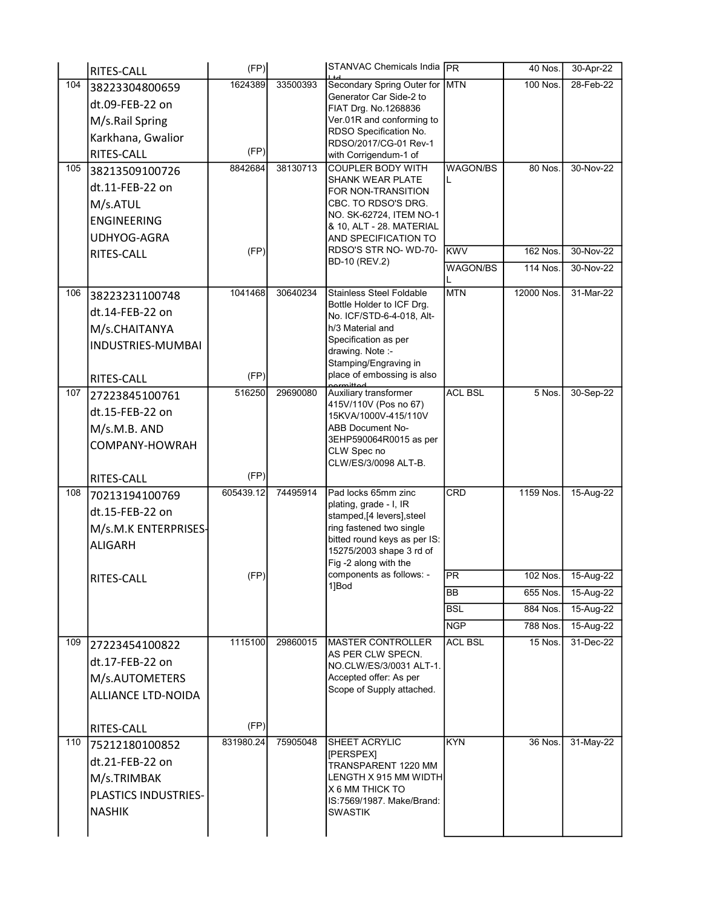|     | RITES-CALL           | (FP)      |          | <b>STANVAC Chemicals India PR</b>                        |                 | 40 Nos.    | 30-Apr-22 |
|-----|----------------------|-----------|----------|----------------------------------------------------------|-----------------|------------|-----------|
| 104 | 38223304800659       | 1624389   | 33500393 | Secondary Spring Outer for                               | MTN             | 100 Nos.   | 28-Feb-22 |
|     | dt.09-FEB-22 on      |           |          | Generator Car Side-2 to<br>FIAT Drg. No.1268836          |                 |            |           |
|     | M/s.Rail Spring      |           |          | Ver.01R and conforming to                                |                 |            |           |
|     | Karkhana, Gwalior    |           |          | RDSO Specification No.                                   |                 |            |           |
|     | RITES-CALL           | (FP)      |          | RDSO/2017/CG-01 Rev-1<br>with Corrigendum-1 of           |                 |            |           |
| 105 | 38213509100726       | 8842684   | 38130713 | <b>COUPLER BODY WITH</b>                                 | <b>WAGON/BS</b> | 80 Nos.    | 30-Nov-22 |
|     | dt.11-FEB-22 on      |           |          | <b>SHANK WEAR PLATE</b>                                  | L               |            |           |
|     |                      |           |          | FOR NON-TRANSITION<br>CBC. TO RDSO'S DRG.                |                 |            |           |
|     | M/s.ATUL             |           |          | NO. SK-62724, ITEM NO-1                                  |                 |            |           |
|     | ENGINEERING          |           |          | 8 10, ALT - 28. MATERIAL                                 |                 |            |           |
|     | UDHYOG-AGRA          |           |          | AND SPECIFICATION TO<br>RDSO'S STR NO-WD-70-             |                 |            |           |
|     | RITES-CALL           | (FP)      |          | <b>BD-10 (REV.2)</b>                                     | <b>KWV</b>      | 162 Nos.   | 30-Nov-22 |
|     |                      |           |          |                                                          | WAGON/BS        | 114 Nos.   | 30-Nov-22 |
| 106 | 38223231100748       | 1041468   | 30640234 | <b>Stainless Steel Foldable</b>                          | <b>MTN</b>      | 12000 Nos. | 31-Mar-22 |
|     | dt.14-FEB-22 on      |           |          | Bottle Holder to ICF Drg.<br>No. ICF/STD-6-4-018, Alt-   |                 |            |           |
|     | M/s.CHAITANYA        |           |          | h/3 Material and                                         |                 |            |           |
|     | INDUSTRIES-MUMBAI    |           |          | Specification as per                                     |                 |            |           |
|     |                      |           |          | drawing. Note :-<br>Stamping/Engraving in                |                 |            |           |
|     | RITES-CALL           | (FP)      |          | place of embossing is also                               |                 |            |           |
| 107 | 27223845100761       | 516250    | 29690080 | Auxiliary transformer                                    | <b>ACL BSL</b>  | 5 Nos.     | 30-Sep-22 |
|     | dt.15-FEB-22 on      |           |          | 415V/110V (Pos no 67)                                    |                 |            |           |
|     |                      |           |          | 15KVA/1000V-415/110V<br><b>ABB Document No-</b>          |                 |            |           |
|     | M/s.M.B. AND         |           |          | 3EHP590064R0015 as per                                   |                 |            |           |
|     | COMPANY-HOWRAH       |           |          | CLW Spec no                                              |                 |            |           |
|     |                      | (FP)      |          | CLW/ES/3/0098 ALT-B.                                     |                 |            |           |
| 108 | RITES-CALL           | 605439.12 | 74495914 | Pad locks 65mm zinc                                      | CRD             | 1159 Nos.  | 15-Aug-22 |
|     | 70213194100769       |           |          | plating, grade - I, IR                                   |                 |            |           |
|     | dt.15-FEB-22 on      |           |          | stamped,[4 levers], steel                                |                 |            |           |
|     | M/s.M.K ENTERPRISES- |           |          | ring fastened two single<br>bitted round keys as per IS: |                 |            |           |
|     | <b>ALIGARH</b>       |           |          | 15275/2003 shape 3 rd of                                 |                 |            |           |
|     |                      |           |          | Fig -2 along with the                                    |                 |            |           |
|     | RITES-CALL           | (FP)      |          | components as follows: -<br>1]Bod                        | <b>PR</b>       | $102$ Nos. | 15-Aug-22 |
|     |                      |           |          |                                                          | BB              | 655 Nos.   | 15-Aug-22 |
|     |                      |           |          |                                                          | <b>BSL</b>      | 884 Nos.   | 15-Aug-22 |
|     |                      |           |          |                                                          | <b>NGP</b>      | 788 Nos.   | 15-Aug-22 |
| 109 | 27223454100822       | 1115100   | 29860015 | <b>MASTER CONTROLLER</b><br>AS PER CLW SPECN.            | <b>ACL BSL</b>  | 15 Nos.    | 31-Dec-22 |
|     | dt.17-FEB-22 on      |           |          | NO.CLW/ES/3/0031 ALT-1.                                  |                 |            |           |
|     | M/s.AUTOMETERS       |           |          | Accepted offer: As per                                   |                 |            |           |
|     | ALLIANCE LTD-NOIDA   |           |          | Scope of Supply attached.                                |                 |            |           |
|     |                      |           |          |                                                          |                 |            |           |
|     | RITES-CALL           | (FP)      |          |                                                          |                 |            |           |
| 110 | 75212180100852       | 831980.24 | 75905048 | <b>SHEET ACRYLIC</b>                                     | <b>KYN</b>      | 36 Nos.    | 31-May-22 |
|     | dt.21-FEB-22 on      |           |          | [PERSPEX]<br>TRANSPARENT 1220 MM                         |                 |            |           |
|     | M/s.TRIMBAK          |           |          | LENGTH X 915 MM WIDTH                                    |                 |            |           |
|     | PLASTICS INDUSTRIES- |           |          | <b>X 6 MM THICK TO</b>                                   |                 |            |           |
|     | <b>NASHIK</b>        |           |          | IS:7569/1987. Make/Brand:<br><b>SWASTIK</b>              |                 |            |           |
|     |                      |           |          |                                                          |                 |            |           |
|     |                      |           |          |                                                          |                 |            |           |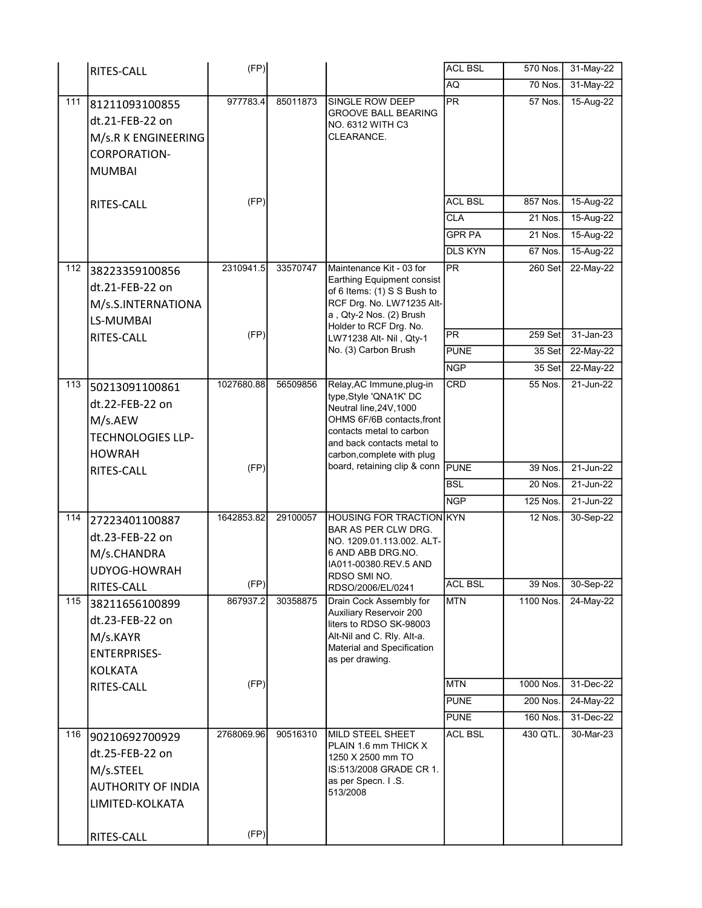|     | RITES-CALL                                                                                                   | (FP)               |          |                                                                                                                                                                                                      | <b>ACL BSL</b> | 570 Nos.  | 31-May-22 |
|-----|--------------------------------------------------------------------------------------------------------------|--------------------|----------|------------------------------------------------------------------------------------------------------------------------------------------------------------------------------------------------------|----------------|-----------|-----------|
|     |                                                                                                              |                    |          |                                                                                                                                                                                                      | AQ             | 70 Nos.   | 31-May-22 |
| 111 | 81211093100855<br>dt.21-FEB-22 on<br>M/s.R K ENGINEERING<br>CORPORATION-<br><b>MUMBAI</b>                    | 977783.4           | 85011873 | SINGLE ROW DEEP<br><b>GROOVE BALL BEARING</b><br>NO. 6312 WITH C3<br>CLEARANCE.                                                                                                                      | <b>PR</b>      | 57 Nos.   | 15-Aug-22 |
|     |                                                                                                              | (FP)               |          |                                                                                                                                                                                                      | <b>ACL BSL</b> | 857 Nos.  | 15-Aug-22 |
|     | RITES-CALL                                                                                                   |                    |          |                                                                                                                                                                                                      | <b>CLA</b>     | 21 Nos.   | 15-Aug-22 |
|     |                                                                                                              |                    |          |                                                                                                                                                                                                      | <b>GPR PA</b>  | 21 Nos.   | 15-Aug-22 |
|     |                                                                                                              |                    |          |                                                                                                                                                                                                      | <b>DLS KYN</b> | 67 Nos.   | 15-Aug-22 |
| 112 | 38223359100856<br>dt.21-FEB-22 on<br>M/s.S.INTERNATIONA<br>LS-MUMBAI                                         | 2310941.5          | 33570747 | Maintenance Kit - 03 for<br>Earthing Equipment consist<br>of 6 Items: (1) S S Bush to<br>RCF Drg. No. LW71235 Alt-<br>a, Qty-2 Nos. (2) Brush                                                        | PR             | $260$ Set | 22-May-22 |
|     | RITES-CALL                                                                                                   | (FP)               |          | Holder to RCF Drg. No.<br>LW71238 Alt- Nil, Qty-1                                                                                                                                                    | PR             | 259 Set   | 31-Jan-23 |
|     |                                                                                                              |                    |          | No. (3) Carbon Brush                                                                                                                                                                                 | <b>PUNE</b>    | 35 Set    | 22-May-22 |
|     |                                                                                                              |                    |          |                                                                                                                                                                                                      | <b>NGP</b>     | 35 Set    | 22-May-22 |
| 113 | 50213091100861<br>dt.22-FEB-22 on<br>M/s.AEW<br><b>TECHNOLOGIES LLP-</b><br><b>HOWRAH</b>                    | 1027680.88         | 56509856 | Relay, AC Immune, plug-in<br>type, Style 'QNA1K' DC<br>Neutral line, 24V, 1000<br>OHMS 6F/6B contacts, front<br>contacts metal to carbon<br>and back contacts metal to<br>carbon, complete with plug | <b>CRD</b>     | 55 Nos.   | 21-Jun-22 |
|     | RITES-CALL                                                                                                   | (FP)               |          | board, retaining clip & conn PUNE                                                                                                                                                                    |                | 39 Nos.   | 21-Jun-22 |
|     |                                                                                                              |                    |          |                                                                                                                                                                                                      | <b>BSL</b>     | 20 Nos.   | 21-Jun-22 |
|     |                                                                                                              |                    |          |                                                                                                                                                                                                      | NGP            | 125 Nos.  | 21-Jun-22 |
| 114 | 27223401100887<br>dt.23-FEB-22 on<br>M/s.CHANDRA<br>UDYOG-HOWRAH                                             | 1642853.82         | 29100057 | <b>HOUSING FOR TRACTION KYN</b><br>BAR AS PER CLW DRG.<br>NO. 1209.01.113.002. ALT-<br>6 AND ABB DRG.NO.<br>IA011-00380.REV.5 AND                                                                    |                | 12 Nos.   | 30-Sep-22 |
|     | RITES-CALL                                                                                                   | (FP)               |          | RDSO SMI NO.<br>RDSO/2006/EL/0241                                                                                                                                                                    | <b>ACL BSL</b> | 39 Nos.   | 30-Sep-22 |
| 115 | 38211656100899<br>dt.23-FEB-22 on<br>M/s.KAYR<br><b>ENTERPRISES-</b><br><b>KOLKATA</b>                       | 867937.2           | 30358875 | Drain Cock Assembly for<br>Auxiliary Reservoir 200<br>liters to RDSO SK-98003<br>Alt-Nil and C. Rly. Alt-a.<br>Material and Specification<br>as per drawing.                                         | <b>MTN</b>     | 1100 Nos. | 24-May-22 |
|     | <b>RITES-CALL</b>                                                                                            | (FP)               |          |                                                                                                                                                                                                      | <b>MTN</b>     | 1000 Nos. | 31-Dec-22 |
|     |                                                                                                              |                    |          |                                                                                                                                                                                                      | <b>PUNE</b>    | 200 Nos.  | 24-May-22 |
|     |                                                                                                              |                    |          |                                                                                                                                                                                                      | <b>PUNE</b>    | 160 Nos.  | 31-Dec-22 |
| 116 | 90210692700929<br>dt.25-FEB-22 on<br>M/s.STEEL<br><b>AUTHORITY OF INDIA</b><br>LIMITED-KOLKATA<br>RITES-CALL | 2768069.96<br>(FP) | 90516310 | <b>MILD STEEL SHEET</b><br>PLAIN 1.6 mm THICK X<br>1250 X 2500 mm TO<br>IS:513/2008 GRADE CR 1.<br>as per Specn. I.S.<br>513/2008                                                                    | <b>ACL BSL</b> | 430 QTL.  | 30-Mar-23 |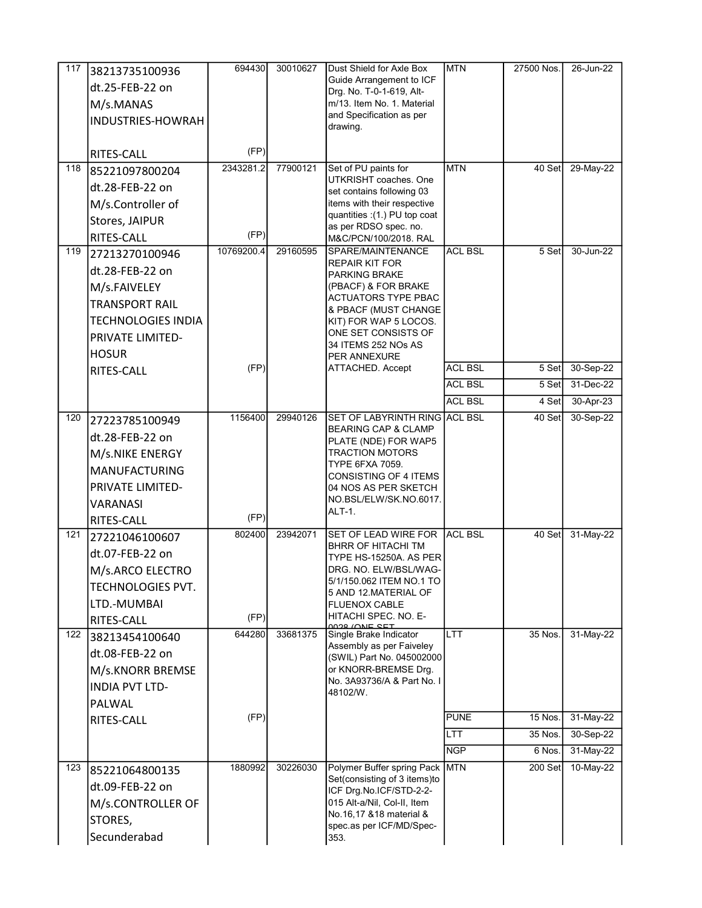| 117 | 38213735100936            | 694430     | 30010627 | Dust Shield for Axle Box                                 | <b>MTN</b>     | 27500 Nos. | 26-Jun-22 |
|-----|---------------------------|------------|----------|----------------------------------------------------------|----------------|------------|-----------|
|     | dt.25-FEB-22 on           |            |          | Guide Arrangement to ICF                                 |                |            |           |
|     | M/s.MANAS                 |            |          | Drg. No. T-0-1-619, Alt-<br>m/13. Item No. 1. Material   |                |            |           |
|     | INDUSTRIES-HOWRAH         |            |          | and Specification as per                                 |                |            |           |
|     |                           |            |          | drawing.                                                 |                |            |           |
|     | RITES-CALL                | (FP)       |          |                                                          |                |            |           |
| 118 | 85221097800204            | 2343281.2  | 77900121 | Set of PU paints for                                     | <b>MTN</b>     | 40 Set     | 29-May-22 |
|     | dt.28-FEB-22 on           |            |          | UTKRISHT coaches. One                                    |                |            |           |
|     | M/s.Controller of         |            |          | set contains following 03<br>items with their respective |                |            |           |
|     |                           |            |          | quantities : (1.) PU top coat                            |                |            |           |
|     | Stores, JAIPUR            | (FP)       |          | as per RDSO spec. no.                                    |                |            |           |
| 119 | RITES-CALL                | 10769200.4 | 29160595 | M&C/PCN/100/2018. RAL<br>SPARE/MAINTENANCE               | <b>ACL BSL</b> | 5 Set      | 30-Jun-22 |
|     | 27213270100946            |            |          | REPAIR KIT FOR                                           |                |            |           |
|     | dt.28-FEB-22 on           |            |          | <b>PARKING BRAKE</b>                                     |                |            |           |
|     | M/s.FAIVELEY              |            |          | (PBACF) & FOR BRAKE<br>ACTUATORS TYPE PBAC               |                |            |           |
|     | <b>TRANSPORT RAIL</b>     |            |          | & PBACF (MUST CHANGE                                     |                |            |           |
|     | <b>TECHNOLOGIES INDIA</b> |            |          | KIT) FOR WAP 5 LOCOS.                                    |                |            |           |
|     | PRIVATE LIMITED-          |            |          | ONE SET CONSISTS OF                                      |                |            |           |
|     | <b>HOSUR</b>              |            |          | 34 ITEMS 252 NOs AS<br>PER ANNEXURE                      |                |            |           |
|     | RITES-CALL                | (FP)       |          | ATTACHED. Accept                                         | <b>ACL BSL</b> | 5 Set      | 30-Sep-22 |
|     |                           |            |          |                                                          | <b>ACL BSL</b> | 5 Set      | 31-Dec-22 |
|     |                           |            |          |                                                          | <b>ACL BSL</b> | 4 Set      | 30-Apr-23 |
| 120 | 27223785100949            | 1156400    | 29940126 | SET OF LABYRINTH RING ACL BSL                            |                | 40 Set     | 30-Sep-22 |
|     | dt.28-FEB-22 on           |            |          | <b>BEARING CAP &amp; CLAMP</b><br>PLATE (NDE) FOR WAP5   |                |            |           |
|     | M/s.NIKE ENERGY           |            |          | <b>TRACTION MOTORS</b>                                   |                |            |           |
|     | <b>MANUFACTURING</b>      |            |          | TYPE 6FXA 7059.                                          |                |            |           |
|     | PRIVATE LIMITED-          |            |          | CONSISTING OF 4 ITEMS<br>04 NOS AS PER SKETCH            |                |            |           |
|     | VARANASI                  |            |          | NO.BSL/ELW/SK.NO.6017.                                   |                |            |           |
|     |                           | (FP)       |          | ALT-1.                                                   |                |            |           |
| 121 | RITES-CALL                | 802400     | 23942071 | SET OF LEAD WIRE FOR                                     | IACL BSL       | 40 Set     | 31-May-22 |
|     | 27221046100607            |            |          | <b>BHRR OF HITACHI TM</b>                                |                |            |           |
|     | dt.07-FEB-22 on           |            |          | TYPE HS-15250A. AS PER                                   |                |            |           |
|     | M/s.ARCO ELECTRO          |            |          | DRG. NO. ELW/BSL/WAG-<br>5/1/150.062 ITEM NO.1 TO        |                |            |           |
|     | TECHNOLOGIES PVT.         |            |          | 5 AND 12 MATERIAL OF                                     |                |            |           |
|     | LTD.-MUMBAI               |            |          | <b>FLUENOX CABLE</b>                                     |                |            |           |
|     | RITES-CALL                | (FP)       |          | HITACHI SPEC. NO. E-<br>0028 (ONE SET                    |                |            |           |
| 122 | 38213454100640            | 644280     | 33681375 | Single Brake Indicator<br>Assembly as per Faiveley       | <b>LTT</b>     | 35 Nos.    | 31-May-22 |
|     | dt.08-FEB-22 on           |            |          | (SWIL) Part No. 045002000                                |                |            |           |
|     | M/s.KNORR BREMSE          |            |          | or KNORR-BREMSE Drg.                                     |                |            |           |
|     | <b>INDIA PVT LTD-</b>     |            |          | No. 3A93736/A & Part No. I<br>48102/W.                   |                |            |           |
|     | PALWAL                    |            |          |                                                          |                |            |           |
|     | RITES-CALL                | (FP)       |          |                                                          | <b>PUNE</b>    | 15 Nos.    | 31-May-22 |
|     |                           |            |          |                                                          | LTT.           | 35 Nos.    | 30-Sep-22 |
|     |                           |            |          |                                                          | <b>NGP</b>     | 6 Nos.     | 31-May-22 |
| 123 | 85221064800135            | 1880992    | 30226030 | Polymer Buffer spring Pack MTN                           |                | 200 Set    | 10-May-22 |
|     | dt.09-FEB-22 on           |            |          | Set(consisting of 3 items)to<br>ICF Drg.No.ICF/STD-2-2-  |                |            |           |
|     | M/s.CONTROLLER OF         |            |          | 015 Alt-a/Nil, Col-II, Item                              |                |            |           |
|     | STORES,                   |            |          | No.16,17 &18 material &                                  |                |            |           |
|     | Secunderabad              |            |          | spec.as per ICF/MD/Spec-<br>353.                         |                |            |           |
|     |                           |            |          |                                                          |                |            |           |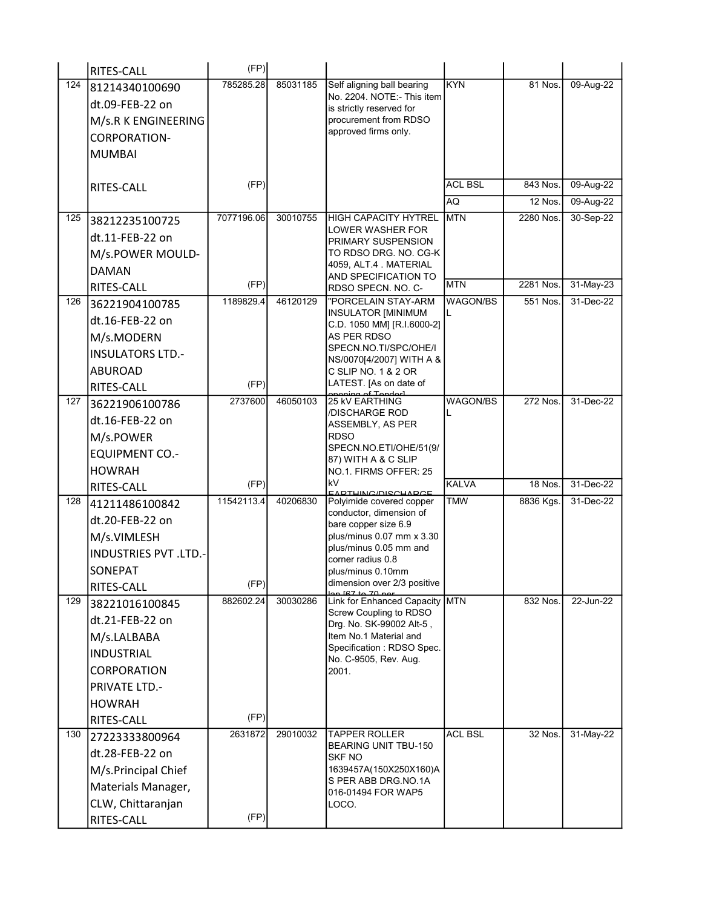|     | RITES-CALL                   | (FP)       |          |                                                         |                 |           |           |
|-----|------------------------------|------------|----------|---------------------------------------------------------|-----------------|-----------|-----------|
| 124 | 81214340100690               | 785285.28  | 85031185 | Self aligning ball bearing                              | <b>KYN</b>      | 81 Nos.   | 09-Aug-22 |
|     | dt.09-FEB-22 on              |            |          | No. 2204. NOTE:- This item<br>is strictly reserved for  |                 |           |           |
|     | M/s.R K ENGINEERING          |            |          | procurement from RDSO                                   |                 |           |           |
|     | <b>CORPORATION-</b>          |            |          | approved firms only.                                    |                 |           |           |
|     | <b>MUMBAI</b>                |            |          |                                                         |                 |           |           |
|     |                              |            |          |                                                         |                 |           |           |
|     | RITES-CALL                   | (FP)       |          |                                                         | <b>ACL BSL</b>  | 843 Nos.  | 09-Aug-22 |
|     |                              |            |          |                                                         | AQ              | 12 Nos.   | 09-Aug-22 |
| 125 | 38212235100725               | 7077196.06 | 30010755 | <b>HIGH CAPACITY HYTREL</b>                             | <b>MTN</b>      | 2280 Nos. | 30-Sep-22 |
|     | dt.11-FEB-22 on              |            |          | LOWER WASHER FOR<br>PRIMARY SUSPENSION                  |                 |           |           |
|     | M/s.POWER MOULD-             |            |          | TO RDSO DRG. NO. CG-K                                   |                 |           |           |
|     | <b>DAMAN</b>                 |            |          | 4059, ALT.4 MATERIAL                                    |                 |           |           |
|     | RITES-CALL                   | (FP)       |          | AND SPECIFICATION TO<br>RDSO SPECN. NO. C-              | <b>MTN</b>      | 2281 Nos. | 31-May-23 |
| 126 | 36221904100785               | 1189829.4  | 46120129 | "PORCELAIN STAY-ARM                                     | <b>WAGON/BS</b> | 551 Nos.  | 31-Dec-22 |
|     | dt.16-FEB-22 on              |            |          | <b>INSULATOR [MINIMUM</b><br>C.D. 1050 MM] [R.I.6000-2] |                 |           |           |
|     | M/s.MODERN                   |            |          | AS PER RDSO                                             |                 |           |           |
|     | <b>INSULATORS LTD.-</b>      |            |          | SPECN.NO.TI/SPC/OHE/I                                   |                 |           |           |
|     | <b>ABUROAD</b>               |            |          | NS/0070[4/2007] WITH A &<br>C SLIP NO. 1 & 2 OR         |                 |           |           |
|     | RITES-CALL                   | (FP)       |          | LATEST. [As on date of                                  |                 |           |           |
| 127 | 36221906100786               | 2737600    | 46050103 | 25 kV EARTHING                                          | WAGON/BS        | 272 Nos.  | 31-Dec-22 |
|     | dt.16-FEB-22 on              |            |          | /DISCHARGE ROD<br>ASSEMBLY, AS PER                      |                 |           |           |
|     | M/s.POWER                    |            |          | <b>RDSO</b>                                             |                 |           |           |
|     | <b>EQUIPMENT CO.-</b>        |            |          | SPECN.NO.ETI/OHE/51(9/                                  |                 |           |           |
|     | <b>HOWRAH</b>                |            |          | 87) WITH A & C SLIP<br>NO.1. FIRMS OFFER: 25            |                 |           |           |
|     | RITES-CALL                   | (FP)       |          | kV                                                      | <b>KALVA</b>    | 18 Nos.   | 31-Dec-22 |
| 128 | 41211486100842               | 11542113.4 | 40206830 | EADTHING/DISCHADCE<br>Polyimide covered copper          | <b>TMW</b>      | 8836 Kgs. | 31-Dec-22 |
|     | dt.20-FEB-22 on              |            |          | conductor, dimension of<br>bare copper size 6.9         |                 |           |           |
|     | M/s.VIMLESH                  |            |          | plus/minus 0.07 mm x 3.30                               |                 |           |           |
|     | <b>INDUSTRIES PVT .LTD.-</b> |            |          | plus/minus 0.05 mm and                                  |                 |           |           |
|     | <b>SONEPAT</b>               |            |          | corner radius 0.8<br>plus/minus 0.10mm                  |                 |           |           |
|     | RITES-CALL                   | (FP)       |          | dimension over 2/3 positive                             |                 |           |           |
| 129 | 38221016100845               | 882602.24  | 30030286 | Link for Enhanced Capacity                              | <b>MTN</b>      | 832 Nos.  | 22-Jun-22 |
|     | dt.21-FEB-22 on              |            |          | Screw Coupling to RDSO<br>Drg. No. SK-99002 Alt-5,      |                 |           |           |
|     | M/s.LALBABA                  |            |          | Item No.1 Material and                                  |                 |           |           |
|     | <b>INDUSTRIAL</b>            |            |          | Specification : RDSO Spec.                              |                 |           |           |
|     | <b>CORPORATION</b>           |            |          | No. C-9505, Rev. Aug.<br>2001.                          |                 |           |           |
|     | <b>PRIVATE LTD.-</b>         |            |          |                                                         |                 |           |           |
|     | <b>HOWRAH</b>                |            |          |                                                         |                 |           |           |
|     | RITES-CALL                   | (FP)       |          |                                                         |                 |           |           |
| 130 | 27223333800964               | 2631872    | 29010032 | <b>TAPPER ROLLER</b>                                    | <b>ACL BSL</b>  | 32 Nos.   | 31-May-22 |
|     | dt.28-FEB-22 on              |            |          | <b>BEARING UNIT TBU-150</b><br><b>SKF NO</b>            |                 |           |           |
|     | M/s.Principal Chief          |            |          | 1639457A(150X250X160)A                                  |                 |           |           |
|     | Materials Manager,           |            |          | S PER ABB DRG.NO.1A                                     |                 |           |           |
|     | CLW, Chittaranjan            |            |          | 016-01494 FOR WAP5<br>LOCO.                             |                 |           |           |
|     | RITES-CALL                   | (FP)       |          |                                                         |                 |           |           |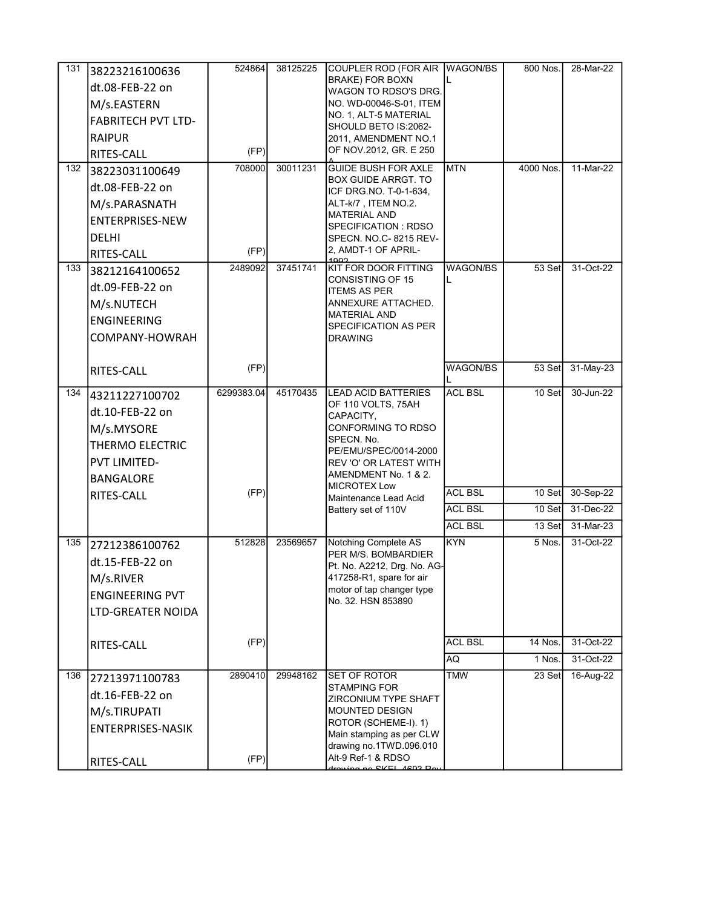| 131 | 38223216100636<br>dt.08-FEB-22 on<br>M/s.EASTERN<br><b>FABRITECH PVT LTD-</b><br><b>RAIPUR</b><br>RITES-CALL         | 524864<br>(FP) | 38125225 | COUPLER ROD (FOR AIR WAGON/BS<br><b>BRAKE) FOR BOXN</b><br>WAGON TO RDSO'S DRG.<br>NO. WD-00046-S-01, ITEM<br>NO. 1, ALT-5 MATERIAL<br>SHOULD BETO IS:2062-<br>2011, AMENDMENT NO.1<br>OF NOV.2012, GR. E 250 |                                  | 800 Nos.                    | 28-Mar-22                                        |
|-----|----------------------------------------------------------------------------------------------------------------------|----------------|----------|---------------------------------------------------------------------------------------------------------------------------------------------------------------------------------------------------------------|----------------------------------|-----------------------------|--------------------------------------------------|
| 132 | 38223031100649<br>dt.08-FEB-22 on<br>M/s.PARASNATH<br><b>ENTERPRISES-NEW</b><br><b>DELHI</b><br>RITES-CALL           | 708000<br>(FP) | 30011231 | <b>GUIDE BUSH FOR AXLE</b><br>BOX GUIDE ARRGT. TO<br>ICF DRG.NO. T-0-1-634.<br>ALT-k/7, ITEM NO.2.<br><b>MATERIAL AND</b><br>SPECIFICATION : RDSO<br>SPECN. NO.C- 8215 REV-<br>2, AMDT-1 OF APRIL-<br>1002    | <b>MTN</b>                       | 4000 Nos.                   | 11-Mar-22                                        |
| 133 | 38212164100652<br>dt.09-FEB-22 on<br>M/s.NUTECH<br><b>ENGINEERING</b><br>COMPANY-HOWRAH                              | 2489092        | 37451741 | KIT FOR DOOR FITTING<br>CONSISTING OF 15<br><b>ITEMS AS PER</b><br>ANNEXURE ATTACHED.<br><b>MATERIAL AND</b><br>SPECIFICATION AS PER<br>DRAWING                                                               | <b>WAGON/BS</b><br>L             | 53 Set                      | 31-Oct-22                                        |
|     | RITES-CALL                                                                                                           | (FP)           |          |                                                                                                                                                                                                               | <b>WAGON/BS</b>                  | 53 Set                      | 31-May-23                                        |
| 134 | 43211227100702<br>dt.10-FEB-22 on<br>M/s.MYSORE<br><b>THERMO ELECTRIC</b><br><b>PVT LIMITED-</b><br><b>BANGALORE</b> | 6299383.04     | 45170435 | <b>LEAD ACID BATTERIES</b><br>OF 110 VOLTS, 75AH<br>CAPACITY,<br>CONFORMING TO RDSO<br>SPECN. No.<br>PE/EMU/SPEC/0014-2000<br>REV 'O' OR LATEST WITH<br>AMENDMENT No. 1 & 2.<br><b>MICROTEX Low</b>           | <b>ACL BSL</b>                   | 10 Set                      | 30-Jun-22                                        |
|     | RITES-CALL                                                                                                           | (FP)           |          | Maintenance Lead Acid                                                                                                                                                                                         | <b>ACL BSL</b>                   | 10 Set                      | 30-Sep-22                                        |
|     |                                                                                                                      |                |          | Battery set of 110V                                                                                                                                                                                           | <b>ACL BSL</b><br><b>ACL BSL</b> | 10 Set<br>13 Set            | 31-Dec-22                                        |
| 135 | 27212386100762<br>dt.15-FEB-22 on<br>M/s.RIVER<br><b>ENGINEERING PVT</b><br>LTD-GREATER NOIDA<br>RITES-CALL          | 512828<br>(FP) | 23569657 | Notching Complete AS<br>PER M/S. BOMBARDIER<br>Pt. No. A2212, Drg. No. AG-<br>417258-R1, spare for air<br>motor of tap changer type<br>No. 32. HSN 853890                                                     | KYN<br><b>ACL BSL</b><br>AQ      | 5 Nos.<br>14 Nos.<br>1 Nos. | 31-Mar-23<br>31-Oct-22<br>31-Oct-22<br>31-Oct-22 |
| 136 |                                                                                                                      | 2890410        | 29948162 | <b>SET OF ROTOR</b>                                                                                                                                                                                           | <b>TMW</b>                       | 23 Set                      | 16-Aug-22                                        |
|     | 27213971100783<br>dt.16-FEB-22 on<br>M/s.TIRUPATI<br><b>ENTERPRISES-NASIK</b><br>RITES-CALL                          | (FP)           |          | <b>STAMPING FOR</b><br>ZIRCONIUM TYPE SHAFT<br>MOUNTED DESIGN<br>ROTOR (SCHEME-I). 1)<br>Main stamping as per CLW<br>drawing no.1TWD.096.010<br>Alt-9 Ref-1 & RDSO<br>rowing no CKEL 4602 Do                  |                                  |                             |                                                  |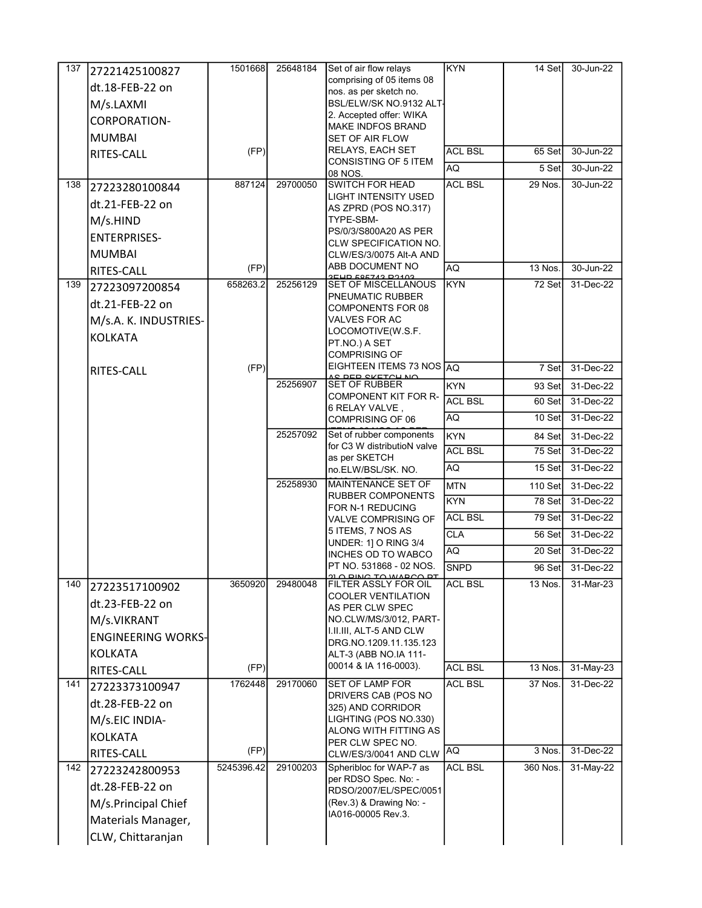| 137 | 27221425100827            | 1501668    | 25648184 | Set of air flow relays                                       | <b>KYN</b>     | 14 Setl   | 30-Jun-22 |
|-----|---------------------------|------------|----------|--------------------------------------------------------------|----------------|-----------|-----------|
|     | dt.18-FEB-22 on           |            |          | comprising of 05 items 08                                    |                |           |           |
|     | M/s.LAXMI                 |            |          | nos. as per sketch no.<br>BSL/ELW/SK NO.9132 ALT <sub></sub> |                |           |           |
|     | CORPORATION-              |            |          | 2. Accepted offer: WIKA                                      |                |           |           |
|     |                           |            |          | <b>MAKE INDFOS BRAND</b>                                     |                |           |           |
|     | <b>MUMBAI</b>             |            |          | <b>SET OF AIR FLOW</b><br>RELAYS, EACH SET                   | <b>ACL BSL</b> |           | 30-Jun-22 |
|     | RITES-CALL                | (FP)       |          | CONSISTING OF 5 ITEM                                         |                | 65 Set    |           |
|     |                           |            |          | 08 NOS.                                                      | AQ             | 5 Set     | 30-Jun-22 |
| 138 | 27223280100844            | 887124     | 29700050 | <b>SWITCH FOR HEAD</b><br>LIGHT INTENSITY USED               | <b>ACL BSL</b> | 29 Nos.   | 30-Jun-22 |
|     | dt.21-FEB-22 on           |            |          | AS ZPRD (POS NO.317)                                         |                |           |           |
|     | M/s.HIND                  |            |          | TYPE-SBM-                                                    |                |           |           |
|     | <b>ENTERPRISES-</b>       |            |          | PS/0/3/S800A20 AS PER<br>CLW SPECIFICATION NO.               |                |           |           |
|     | <b>MUMBAI</b>             |            |          | CLW/ES/3/0075 Alt-A AND                                      |                |           |           |
|     | RITES-CALL                | (FP)       |          | ABB DOCUMENT NO                                              | AQ             | 13 Nos.   | 30-Jun-22 |
| 139 | 27223097200854            | 658263.2   | 25256129 | <b>2EUD 606742 D2402</b><br><b>SET OF MISCELLANOUS</b>       | KYN            | 72 Set    | 31-Dec-22 |
|     | dt.21-FEB-22 on           |            |          | PNEUMATIC RUBBER                                             |                |           |           |
|     |                           |            |          | COMPONENTS FOR 08<br>VALVES FOR AC                           |                |           |           |
|     | M/s.A. K. INDUSTRIES-     |            |          | LOCOMOTIVE(W.S.F.                                            |                |           |           |
|     | <b>KOLKATA</b>            |            |          | PT.NO.) A SET                                                |                |           |           |
|     |                           |            |          | <b>COMPRISING OF</b><br>EIGHTEEN ITEMS 73 NOS AQ             |                |           |           |
|     | RITES-CALL                | (FP)       |          | <u>AS DED SKETCH NA</u>                                      |                | 7 Set     | 31-Dec-22 |
|     |                           |            | 25256907 | <b>SET OF RUBBER</b><br><b>COMPONENT KIT FOR R-</b>          | <b>KYN</b>     | 93 Set    | 31-Dec-22 |
|     |                           |            |          | 6 RELAY VALVE,                                               | <b>ACL BSL</b> | 60 Set    | 31-Dec-22 |
|     |                           |            |          | <b>COMPRISING OF 06</b>                                      | AQ             | 10 Set    | 31-Dec-22 |
|     |                           |            | 25257092 | Set of rubber components                                     | <b>KYN</b>     | 84 Set    | 31-Dec-22 |
|     |                           |            |          | for C3 W distributioN valve<br>as per SKETCH                 | <b>ACL BSL</b> | 75 Set    | 31-Dec-22 |
|     |                           |            |          | no.ELW/BSL/SK. NO.                                           | AQ             | 15 Set    | 31-Dec-22 |
|     |                           |            | 25258930 | MAINTENANCE SET OF                                           | <b>MTN</b>     | $110$ Set | 31-Dec-22 |
|     |                           |            |          | RUBBER COMPONENTS<br>FOR N-1 REDUCING                        | <b>KYN</b>     | 78 Set    | 31-Dec-22 |
|     |                           |            |          | <b>VALVE COMPRISING OF</b>                                   | <b>ACL BSL</b> | 79 Set    | 31-Dec-22 |
|     |                           |            |          | 5 ITEMS, 7 NOS AS                                            | <b>CLA</b>     | 56 Set    | 31-Dec-22 |
|     |                           |            |          | UNDER: 1] O RING 3/4<br>INCHES OD TO WABCO                   | <b>AQ</b>      | 20 Set    | 31-Dec-22 |
|     |                           |            |          | PT NO. 531868 - 02 NOS.                                      | <b>SNPD</b>    | 96 Set    | 31-Dec-22 |
| 140 | 27223517100902            | 3650920    | 29480048 | FILTER ASSLY FOR OIL                                         | <b>ACL BSL</b> | 13 Nos.   | 31-Mar-23 |
|     |                           |            |          | <b>COOLER VENTILATION</b>                                    |                |           |           |
|     | dt.23-FEB-22 on           |            |          | AS PER CLW SPEC                                              |                |           |           |
|     | M/s.VIKRANT               |            |          | NO.CLW/MS/3/012, PART-<br>I.II.III, ALT-5 AND CLW            |                |           |           |
|     | <b>ENGINEERING WORKS-</b> |            |          | DRG NO 1209 11 135 123                                       |                |           |           |
|     | <b>KOLKATA</b>            |            |          | ALT-3 (ABB NO.IA 111-                                        |                |           |           |
|     | RITES-CALL                | (FP)       |          | 00014 & IA 116-0003).                                        | <b>ACL BSL</b> | 13 Nos.   | 31-May-23 |
| 141 | 27223373100947            | 1762448    | 29170060 | <b>SET OF LAMP FOR</b><br>DRIVERS CAB (POS NO                | <b>ACL BSL</b> | 37 Nos.   | 31-Dec-22 |
|     | dt.28-FEB-22 on           |            |          | 325) AND CORRIDOR                                            |                |           |           |
|     | M/s.EIC INDIA-            |            |          | LIGHTING (POS NO.330)                                        |                |           |           |
|     | <b>KOLKATA</b>            |            |          | ALONG WITH FITTING AS<br>PER CLW SPEC NO.                    |                |           |           |
|     | RITES-CALL                | (FP)       |          | CLW/ES/3/0041 AND CLW                                        | AQ             | 3 Nos.    | 31-Dec-22 |
| 142 | 27223242800953            | 5245396.42 | 29100203 | Spheribloc for WAP-7 as                                      | <b>ACL BSL</b> | 360 Nos.  | 31-May-22 |
|     | dt.28-FEB-22 on           |            |          | per RDSO Spec. No: -                                         |                |           |           |
|     | M/s.Principal Chief       |            |          | RDSO/2007/EL/SPEC/0051<br>(Rev.3) & Drawing No: -            |                |           |           |
|     | Materials Manager,        |            |          | IA016-00005 Rev.3.                                           |                |           |           |
|     |                           |            |          |                                                              |                |           |           |
|     | CLW, Chittaranjan         |            |          |                                                              |                |           |           |